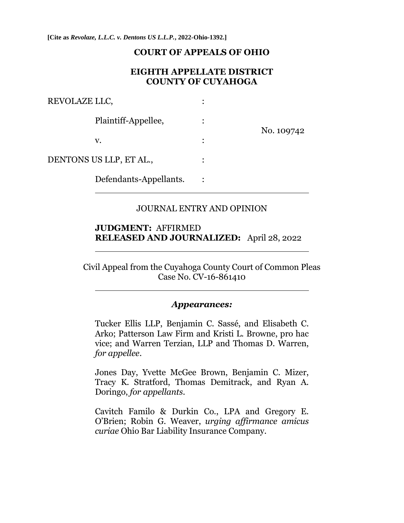**[Cite as** *Revolaze, L.L.C. v. Dentons US L.L.P.***, 2022-Ohio-1392.]**

#### **COURT OF APPEALS OF OHIO**

### **EIGHTH APPELLATE DISTRICT COUNTY OF CUYAHOGA**

| REVOLAZE LLC,           |  |            |
|-------------------------|--|------------|
| Plaintiff-Appellee,     |  | No. 109742 |
| v.                      |  |            |
| DENTONS US LLP, ET AL., |  |            |
| Defendants-Appellants.  |  |            |

#### JOURNAL ENTRY AND OPINION

### **JUDGMENT:** AFFIRMED **RELEASED AND JOURNALIZED:** April 28, 2022

Civil Appeal from the Cuyahoga County Court of Common Pleas Case No. CV-16-861410

#### *Appearances:*

Tucker Ellis LLP, Benjamin C. Sassé, and Elisabeth C. Arko; Patterson Law Firm and Kristi L. Browne, pro hac vice; and Warren Terzian, LLP and Thomas D. Warren, *for appellee*.

Jones Day, Yvette McGee Brown, Benjamin C. Mizer, Tracy K. Stratford, Thomas Demitrack, and Ryan A. Doringo, *for appellants*.

Cavitch Familo & Durkin Co., LPA and Gregory E. O'Brien; Robin G. Weaver, *urging affirmance amicus curiae* Ohio Bar Liability Insurance Company.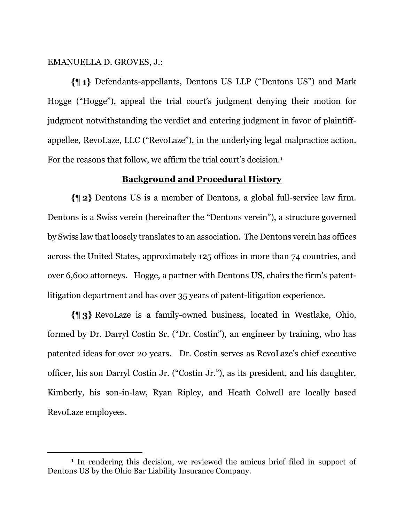EMANUELLA D. GROVES, J.:

Defendants-appellants, Dentons US LLP ("Dentons US") and Mark Hogge ("Hogge"), appeal the trial court's judgment denying their motion for judgment notwithstanding the verdict and entering judgment in favor of plaintiffappellee, RevoLaze, LLC ("RevoLaze"), in the underlying legal malpractice action. For the reasons that follow, we affirm the trial court's decision.<sup>1</sup>

## **Background and Procedural History**

Dentons US is a member of Dentons, a global full-service law firm. Dentons is a Swiss verein (hereinafter the "Dentons verein"), a structure governed by Swiss law that loosely translates to an association. The Dentons verein has offices across the United States, approximately 125 offices in more than 74 countries, and over 6,600 attorneys. Hogge, a partner with Dentons US, chairs the firm's patentlitigation department and has over 35 years of patent-litigation experience.

RevoLaze is a family-owned business, located in Westlake, Ohio, formed by Dr. Darryl Costin Sr. ("Dr. Costin"), an engineer by training, who has patented ideas for over 20 years. Dr. Costin serves as RevoLaze's chief executive officer, his son Darryl Costin Jr. ("Costin Jr."), as its president, and his daughter, Kimberly, his son-in-law, Ryan Ripley, and Heath Colwell are locally based RevoLaze employees.

<sup>1</sup> In rendering this decision, we reviewed the amicus brief filed in support of Dentons US by the Ohio Bar Liability Insurance Company.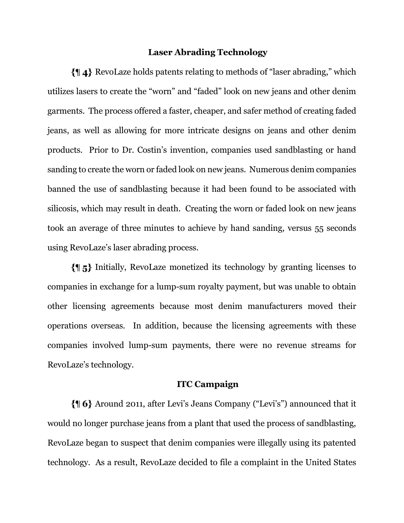## **Laser Abrading Technology**

RevoLaze holds patents relating to methods of "laser abrading," which utilizes lasers to create the "worn" and "faded" look on new jeans and other denim garments. The process offered a faster, cheaper, and safer method of creating faded jeans, as well as allowing for more intricate designs on jeans and other denim products. Prior to Dr. Costin's invention, companies used sandblasting or hand sanding to create the worn or faded look on new jeans. Numerous denim companies banned the use of sandblasting because it had been found to be associated with silicosis, which may result in death. Creating the worn or faded look on new jeans took an average of three minutes to achieve by hand sanding, versus 55 seconds using RevoLaze's laser abrading process.

Initially, RevoLaze monetized its technology by granting licenses to companies in exchange for a lump-sum royalty payment, but was unable to obtain other licensing agreements because most denim manufacturers moved their operations overseas. In addition, because the licensing agreements with these companies involved lump-sum payments, there were no revenue streams for RevoLaze's technology.

#### **ITC Campaign**

Around 2011, after Levi's Jeans Company ("Levi's") announced that it would no longer purchase jeans from a plant that used the process of sandblasting, RevoLaze began to suspect that denim companies were illegally using its patented technology. As a result, RevoLaze decided to file a complaint in the United States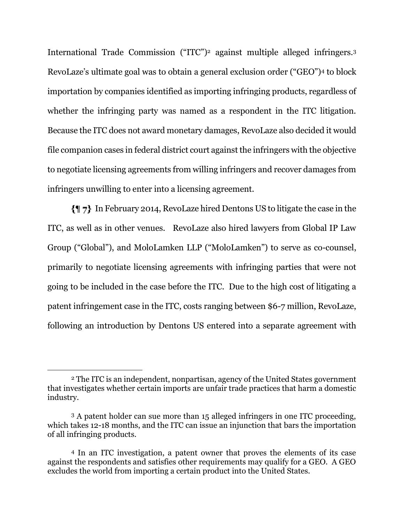International Trade Commission ("ITC")<sup>2</sup> against multiple alleged infringers.<sup>3</sup> RevoLaze's ultimate goal was to obtain a general exclusion order ("GEO")<sup>4</sup> to block importation by companies identified as importing infringing products, regardless of whether the infringing party was named as a respondent in the ITC litigation. Because the ITC does not award monetary damages, RevoLaze also decided it would file companion cases in federal district court against the infringers with the objective to negotiate licensing agreements from willing infringers and recover damages from infringers unwilling to enter into a licensing agreement.

In February 2014, RevoLaze hired Dentons US to litigate the case in the ITC, as well as in other venues. RevoLaze also hired lawyers from Global IP Law Group ("Global"), and MoloLamken LLP ("MoloLamken") to serve as co-counsel, primarily to negotiate licensing agreements with infringing parties that were not going to be included in the case before the ITC. Due to the high cost of litigating a patent infringement case in the ITC, costs ranging between \$6-7 million, RevoLaze, following an introduction by Dentons US entered into a separate agreement with

<sup>2</sup> The ITC is an independent, nonpartisan, agency of the United States government that investigates whether certain imports are unfair trade practices that harm a domestic industry.

<sup>3</sup> A patent holder can sue more than 15 alleged infringers in one ITC proceeding, which takes 12-18 months, and the ITC can issue an injunction that bars the importation of all infringing products.

<sup>4</sup> In an ITC investigation, a patent owner that proves the elements of its case against the respondents and satisfies other requirements may qualify for a GEO. A GEO excludes the world from importing a certain product into the United States.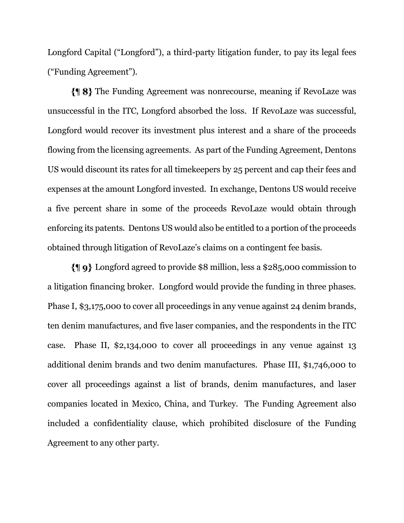Longford Capital ("Longford"), a third-party litigation funder, to pay its legal fees ("Funding Agreement").

The Funding Agreement was nonrecourse, meaning if RevoLaze was unsuccessful in the ITC, Longford absorbed the loss. If RevoLaze was successful, Longford would recover its investment plus interest and a share of the proceeds flowing from the licensing agreements. As part of the Funding Agreement, Dentons US would discount its rates for all timekeepers by 25 percent and cap their fees and expenses at the amount Longford invested. In exchange, Dentons US would receive a five percent share in some of the proceeds RevoLaze would obtain through enforcing its patents. Dentons US would also be entitled to a portion of the proceeds obtained through litigation of RevoLaze's claims on a contingent fee basis.

Longford agreed to provide \$8 million, less a \$285,000 commission to a litigation financing broker. Longford would provide the funding in three phases. Phase I, \$3,175,000 to cover all proceedings in any venue against 24 denim brands, ten denim manufactures, and five laser companies, and the respondents in the ITC case. Phase II, \$2,134,000 to cover all proceedings in any venue against 13 additional denim brands and two denim manufactures. Phase III, \$1,746,000 to cover all proceedings against a list of brands, denim manufactures, and laser companies located in Mexico, China, and Turkey. The Funding Agreement also included a confidentiality clause, which prohibited disclosure of the Funding Agreement to any other party.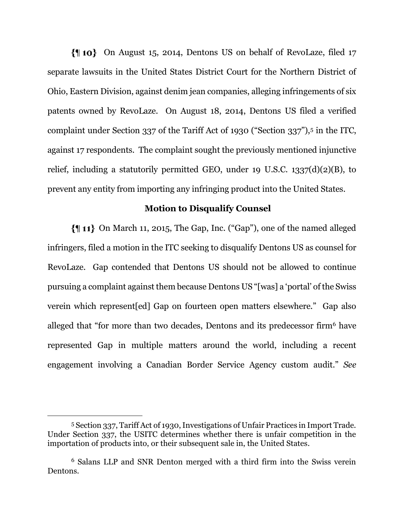On August 15, 2014, Dentons US on behalf of RevoLaze, filed 17 separate lawsuits in the United States District Court for the Northern District of Ohio, Eastern Division, against denim jean companies, alleging infringements of six patents owned by RevoLaze. On August 18, 2014, Dentons US filed a verified complaint under Section 337 of the Tariff Act of 1930 ("Section 337"),<sup>5</sup> in the ITC, against 17 respondents. The complaint sought the previously mentioned injunctive relief, including a statutorily permitted GEO, under 19 U.S.C.  $1337(d)(2)(B)$ , to prevent any entity from importing any infringing product into the United States.

### **Motion to Disqualify Counsel**

 On March 11, 2015, The Gap, Inc. ("Gap"), one of the named alleged infringers, filed a motion in the ITC seeking to disqualify Dentons US as counsel for RevoLaze. Gap contended that Dentons US should not be allowed to continue pursuing a complaint against them because Dentons US "[was] a 'portal' of the Swiss verein which represent[ed] Gap on fourteen open matters elsewhere." Gap also alleged that "for more than two decades, Dentons and its predecessor firm<sup>6</sup> have represented Gap in multiple matters around the world, including a recent engagement involving a Canadian Border Service Agency custom audit." *See* 

<sup>5</sup> Section 337, Tariff Act of 1930, Investigations of Unfair Practices in Import Trade. Under Section 337, the USITC determines whether there is unfair competition in the importation of products into, or their subsequent sale in, the United States.

<sup>6</sup> Salans LLP and SNR Denton merged with a third firm into the Swiss verein Dentons.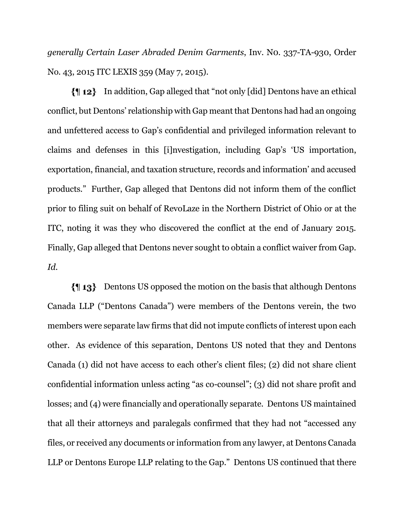*generally Certain Laser Abraded Denim Garments*, Inv. N0. 337-TA-930, Order No. 43, 2015 ITC LEXIS 359 (May 7, 2015).

In addition, Gap alleged that "not only [did] Dentons have an ethical conflict, but Dentons' relationship with Gap meant that Dentons had had an ongoing and unfettered access to Gap's confidential and privileged information relevant to claims and defenses in this [i]nvestigation, including Gap's 'US importation, exportation, financial, and taxation structure, records and information' and accused products." Further, Gap alleged that Dentons did not inform them of the conflict prior to filing suit on behalf of RevoLaze in the Northern District of Ohio or at the ITC, noting it was they who discovered the conflict at the end of January 2015. Finally, Gap alleged that Dentons never sought to obtain a conflict waiver from Gap. *Id.*

Dentons US opposed the motion on the basis that although Dentons Canada LLP ("Dentons Canada") were members of the Dentons verein, the two members were separate law firms that did not impute conflicts of interest upon each other. As evidence of this separation, Dentons US noted that they and Dentons Canada (1) did not have access to each other's client files; (2) did not share client confidential information unless acting "as co-counsel"; (3) did not share profit and losses; and (4) were financially and operationally separate. Dentons US maintained that all their attorneys and paralegals confirmed that they had not "accessed any files, or received any documents or information from any lawyer, at Dentons Canada LLP or Dentons Europe LLP relating to the Gap." Dentons US continued that there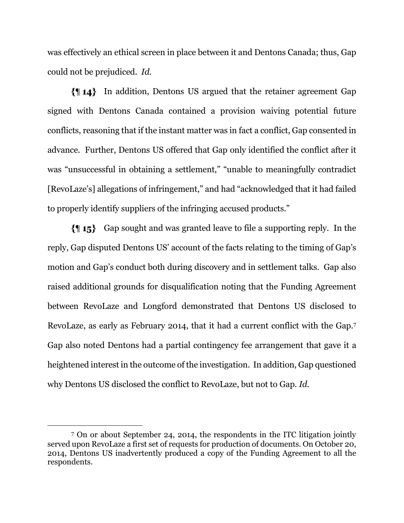was effectively an ethical screen in place between it and Dentons Canada; thus, Gap could not be prejudiced. *Id.*

In addition, Dentons US argued that the retainer agreement Gap signed with Dentons Canada contained a provision waiving potential future conflicts, reasoning that if the instant matter was in fact a conflict, Gap consented in advance. Further, Dentons US offered that Gap only identified the conflict after it was "unsuccessful in obtaining a settlement," "unable to meaningfully contradict [RevoLaze's] allegations of infringement," and had "acknowledged that it had failed to properly identify suppliers of the infringing accused products."

Gap sought and was granted leave to file a supporting reply. In the reply, Gap disputed Dentons US' account of the facts relating to the timing of Gap's motion and Gap's conduct both during discovery and in settlement talks. Gap also raised additional grounds for disqualification noting that the Funding Agreement between RevoLaze and Longford demonstrated that Dentons US disclosed to RevoLaze, as early as February 2014, that it had a current conflict with the Gap.<sup>7</sup> Gap also noted Dentons had a partial contingency fee arrangement that gave it a heightened interest in the outcome of the investigation. In addition, Gap questioned why Dentons US disclosed the conflict to RevoLaze, but not to Gap. *Id.*

<sup>7</sup> On or about September 24, 2014, the respondents in the ITC litigation jointly served upon RevoLaze a first set of requests for production of documents. On October 20, 2014, Dentons US inadvertently produced a copy of the Funding Agreement to all the respondents.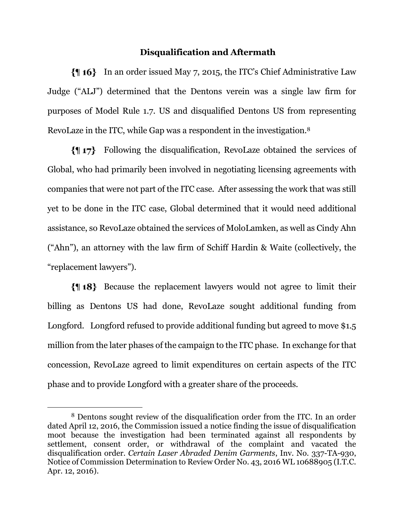### **Disqualification and Aftermath**

In an order issued May 7, 2015, the ITC's Chief Administrative Law Judge ("ALJ") determined that the Dentons verein was a single law firm for purposes of Model Rule 1.7. US and disqualified Dentons US from representing RevoLaze in the ITC, while Gap was a respondent in the investigation.<sup>8</sup>

Following the disqualification, RevoLaze obtained the services of Global, who had primarily been involved in negotiating licensing agreements with companies that were not part of the ITC case. After assessing the work that was still yet to be done in the ITC case, Global determined that it would need additional assistance, so RevoLaze obtained the services of MoloLamken, as well as Cindy Ahn ("Ahn"), an attorney with the law firm of Schiff Hardin & Waite (collectively, the "replacement lawyers").

Because the replacement lawyers would not agree to limit their billing as Dentons US had done, RevoLaze sought additional funding from Longford. Longford refused to provide additional funding but agreed to move \$1.5 million from the later phases of the campaign to the ITC phase. In exchange for that concession, RevoLaze agreed to limit expenditures on certain aspects of the ITC phase and to provide Longford with a greater share of the proceeds.

<sup>8</sup> Dentons sought review of the disqualification order from the ITC. In an order dated April 12, 2016, the Commission issued a notice finding the issue of disqualification moot because the investigation had been terminated against all respondents by settlement, consent order, or withdrawal of the complaint and vacated the disqualification order. *Certain Laser Abraded Denim Garments*, Inv. No. 337-TA-930, Notice of Commission Determination to Review Order No. 43, 2016 WL 10688905 (I.T.C. Apr. 12, 2016).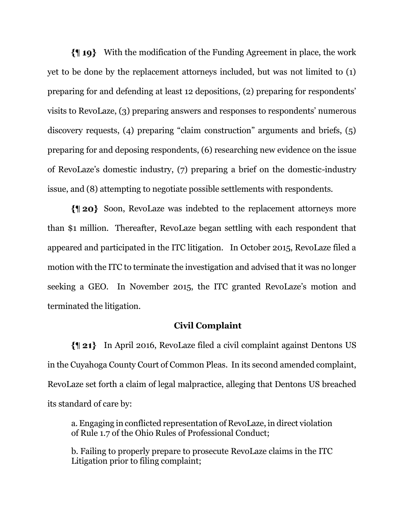With the modification of the Funding Agreement in place, the work yet to be done by the replacement attorneys included, but was not limited to (1) preparing for and defending at least 12 depositions, (2) preparing for respondents' visits to RevoLaze, (3) preparing answers and responses to respondents' numerous discovery requests, (4) preparing "claim construction" arguments and briefs, (5) preparing for and deposing respondents, (6) researching new evidence on the issue of RevoLaze's domestic industry, (7) preparing a brief on the domestic-industry issue, and (8) attempting to negotiate possible settlements with respondents.

Soon, RevoLaze was indebted to the replacement attorneys more than \$1 million. Thereafter, RevoLaze began settling with each respondent that appeared and participated in the ITC litigation. In October 2015, RevoLaze filed a motion with the ITC to terminate the investigation and advised that it was no longer seeking a GEO. In November 2015, the ITC granted RevoLaze's motion and terminated the litigation.

### **Civil Complaint**

In April 2016, RevoLaze filed a civil complaint against Dentons US in the Cuyahoga County Court of Common Pleas. In its second amended complaint, RevoLaze set forth a claim of legal malpractice, alleging that Dentons US breached its standard of care by:

a. Engaging in conflicted representation of RevoLaze, in direct violation of Rule 1.7 of the Ohio Rules of Professional Conduct;

b. Failing to properly prepare to prosecute RevoLaze claims in the ITC Litigation prior to filing complaint;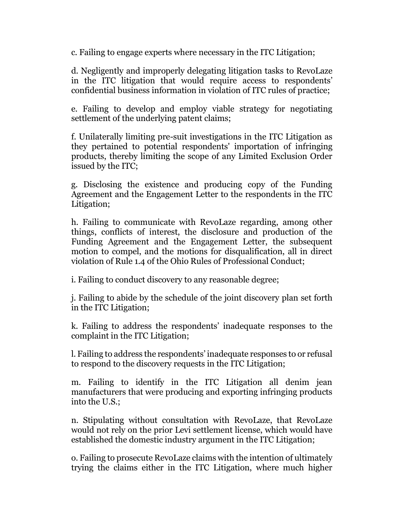c. Failing to engage experts where necessary in the ITC Litigation;

d. Negligently and improperly delegating litigation tasks to RevoLaze in the ITC litigation that would require access to respondents' confidential business information in violation of ITC rules of practice;

e. Failing to develop and employ viable strategy for negotiating settlement of the underlying patent claims;

f. Unilaterally limiting pre-suit investigations in the ITC Litigation as they pertained to potential respondents' importation of infringing products, thereby limiting the scope of any Limited Exclusion Order issued by the ITC;

g. Disclosing the existence and producing copy of the Funding Agreement and the Engagement Letter to the respondents in the ITC Litigation;

h. Failing to communicate with RevoLaze regarding, among other things, conflicts of interest, the disclosure and production of the Funding Agreement and the Engagement Letter, the subsequent motion to compel, and the motions for disqualification, all in direct violation of Rule 1.4 of the Ohio Rules of Professional Conduct;

i. Failing to conduct discovery to any reasonable degree;

j. Failing to abide by the schedule of the joint discovery plan set forth in the ITC Litigation;

k. Failing to address the respondents' inadequate responses to the complaint in the ITC Litigation;

l. Failing to address the respondents' inadequate responses to or refusal to respond to the discovery requests in the ITC Litigation;

m. Failing to identify in the ITC Litigation all denim jean manufacturers that were producing and exporting infringing products into the U.S.;

n. Stipulating without consultation with RevoLaze, that RevoLaze would not rely on the prior Levi settlement license, which would have established the domestic industry argument in the ITC Litigation;

o. Failing to prosecute RevoLaze claims with the intention of ultimately trying the claims either in the ITC Litigation, where much higher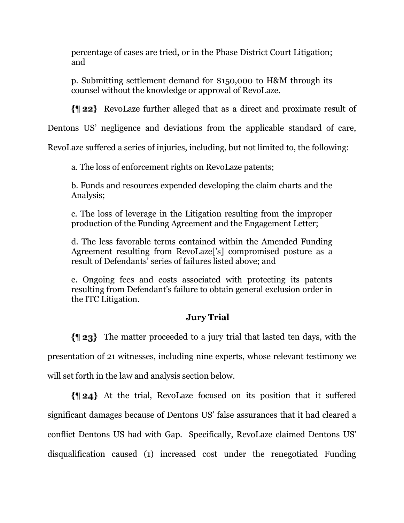percentage of cases are tried, or in the Phase District Court Litigation; and

p. Submitting settlement demand for \$150,000 to H&M through its counsel without the knowledge or approval of RevoLaze.

RevoLaze further alleged that as a direct and proximate result of

Dentons US' negligence and deviations from the applicable standard of care,

RevoLaze suffered a series of injuries, including, but not limited to, the following:

a. The loss of enforcement rights on RevoLaze patents;

b. Funds and resources expended developing the claim charts and the Analysis;

c. The loss of leverage in the Litigation resulting from the improper production of the Funding Agreement and the Engagement Letter;

d. The less favorable terms contained within the Amended Funding Agreement resulting from RevoLaze['s] compromised posture as a result of Defendants' series of failures listed above; and

e. Ongoing fees and costs associated with protecting its patents resulting from Defendant's failure to obtain general exclusion order in the ITC Litigation.

# **Jury Trial**

The matter proceeded to a jury trial that lasted ten days, with the presentation of 21 witnesses, including nine experts, whose relevant testimony we will set forth in the law and analysis section below.

At the trial, RevoLaze focused on its position that it suffered significant damages because of Dentons US' false assurances that it had cleared a conflict Dentons US had with Gap. Specifically, RevoLaze claimed Dentons US' disqualification caused (1) increased cost under the renegotiated Funding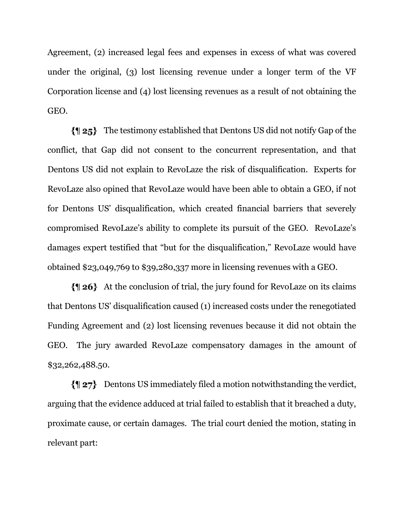Agreement, (2) increased legal fees and expenses in excess of what was covered under the original, (3) lost licensing revenue under a longer term of the VF Corporation license and (4) lost licensing revenues as a result of not obtaining the GEO.

 $\{ \parallel 25 \}$  The testimony established that Dentons US did not notify Gap of the conflict, that Gap did not consent to the concurrent representation, and that Dentons US did not explain to RevoLaze the risk of disqualification. Experts for RevoLaze also opined that RevoLaze would have been able to obtain a GEO, if not for Dentons US' disqualification, which created financial barriers that severely compromised RevoLaze's ability to complete its pursuit of the GEO. RevoLaze's damages expert testified that "but for the disqualification," RevoLaze would have obtained \$23,049,769 to \$39,280,337 more in licensing revenues with a GEO.

At the conclusion of trial, the jury found for RevoLaze on its claims that Dentons US' disqualification caused (1) increased costs under the renegotiated Funding Agreement and (2) lost licensing revenues because it did not obtain the GEO. The jury awarded RevoLaze compensatory damages in the amount of \$32,262,488.50.

Dentons US immediately filed a motion notwithstanding the verdict, arguing that the evidence adduced at trial failed to establish that it breached a duty, proximate cause, or certain damages. The trial court denied the motion, stating in relevant part: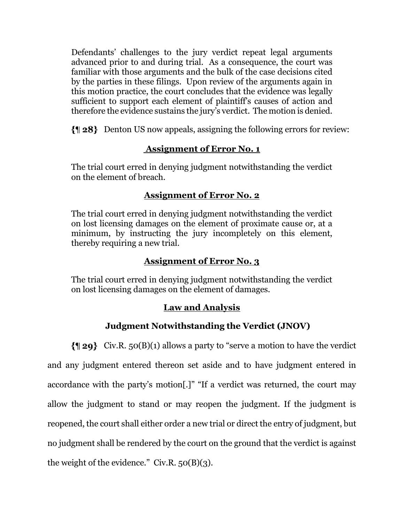Defendants' challenges to the jury verdict repeat legal arguments advanced prior to and during trial. As a consequence, the court was familiar with those arguments and the bulk of the case decisions cited by the parties in these filings. Upon review of the arguments again in this motion practice, the court concludes that the evidence was legally sufficient to support each element of plaintiff's causes of action and therefore the evidence sustains the jury's verdict. The motion is denied.

Denton US now appeals, assigning the following errors for review:

# **Assignment of Error No. 1**

The trial court erred in denying judgment notwithstanding the verdict on the element of breach.

# **Assignment of Error No. 2**

The trial court erred in denying judgment notwithstanding the verdict on lost licensing damages on the element of proximate cause or, at a minimum, by instructing the jury incompletely on this element, thereby requiring a new trial.

# **Assignment of Error No. 3**

The trial court erred in denying judgment notwithstanding the verdict on lost licensing damages on the element of damages.

# **Law and Analysis**

# **Judgment Notwithstanding the Verdict (JNOV)**

 $\{ \parallel 29 \}$  Civ.R. 50(B)(1) allows a party to "serve a motion to have the verdict and any judgment entered thereon set aside and to have judgment entered in accordance with the party's motion[.]" "If a verdict was returned, the court may allow the judgment to stand or may reopen the judgment. If the judgment is reopened, the court shall either order a new trial or direct the entry of judgment, but no judgment shall be rendered by the court on the ground that the verdict is against the weight of the evidence." Civ.R.  $50(B)(3)$ .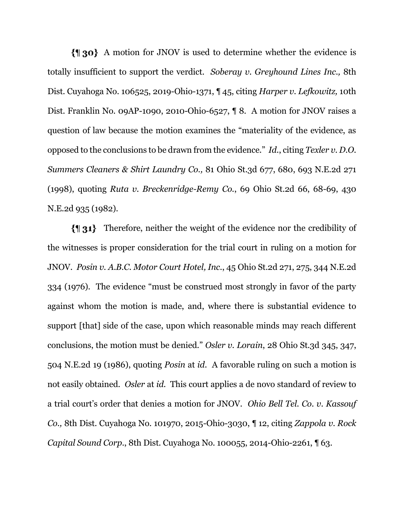A motion for JNOV is used to determine whether the evidence is totally insufficient to support the verdict. *Soberay v. Greyhound Lines Inc.,* 8th Dist. Cuyahoga No. 106525, 2019-Ohio-1371, ¶ 45, citing *Harper v. Lefkowitz,* 10th Dist. Franklin No. 09AP-1090, 2010-Ohio-6527, ¶ 8. A motion for JNOV raises a question of law because the motion examines the "materiality of the evidence, as opposed to the conclusions to be drawn from the evidence." *Id.*, citing *Texler v. D.O. Summers Cleaners & Shirt Laundry Co.,* 81 Ohio St.3d 677, 680, 693 N.E.2d 271 (1998), quoting *Ruta v. Breckenridge-Remy Co.*, 69 Ohio St.2d 66, 68-69, 430 N.E.2d 935 (1982).

Therefore, neither the weight of the evidence nor the credibility of the witnesses is proper consideration for the trial court in ruling on a motion for JNOV. *Posin v. A.B.C. Motor Court Hotel, Inc.*, 45 Ohio St.2d 271, 275, 344 N.E.2d 334 (1976). The evidence "must be construed most strongly in favor of the party against whom the motion is made, and, where there is substantial evidence to support [that] side of the case, upon which reasonable minds may reach different conclusions, the motion must be denied." *Osler v. Lorain*, 28 Ohio St.3d 345, 347, 504 N.E.2d 19 (1986), quoting *Posin* at *id*. A favorable ruling on such a motion is not easily obtained. *Osler* at *id.* This court applies a de novo standard of review to a trial court's order that denies a motion for JNOV. *Ohio Bell Tel. Co. v. Kassouf Co.,* 8th Dist. Cuyahoga No. 101970, 2015-Ohio-3030, ¶ 12, citing *Zappola v. Rock Capital Sound Corp.*, 8th Dist. Cuyahoga No. 100055, 2014-Ohio-2261, ¶ 63.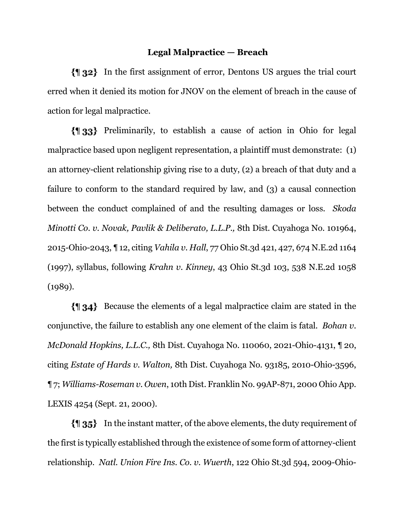#### **Legal Malpractice — Breach**

In the first assignment of error, Dentons US argues the trial court erred when it denied its motion for JNOV on the element of breach in the cause of action for legal malpractice.

Preliminarily, to establish a cause of action in Ohio for legal malpractice based upon negligent representation, a plaintiff must demonstrate: (1) an attorney-client relationship giving rise to a duty, (2) a breach of that duty and a failure to conform to the standard required by law, and (3) a causal connection between the conduct complained of and the resulting damages or loss. *Skoda Minotti Co. v. Novak, Pavlik & Deliberato, L.L.P.,* 8th Dist. Cuyahoga No. 101964, 2015-Ohio-2043, ¶ 12, citing *Vahila v. Hall*, 77 Ohio St.3d 421, 427, 674 N.E.2d 1164 (1997), syllabus, following *Krahn v. Kinney*, 43 Ohio St.3d 103, 538 N.E.2d 1058  $(1989).$ 

Because the elements of a legal malpractice claim are stated in the conjunctive, the failure to establish any one element of the claim is fatal. *Bohan v. McDonald Hopkins, L.L.C.,* 8th Dist. Cuyahoga No. 110060, 2021-Ohio-4131, ¶ 20, citing *Estate of Hards v. Walton,* 8th Dist. Cuyahoga No. 93185, 2010-Ohio-3596, ¶ 7; *Williams-Roseman v. Owen*, 10th Dist. Franklin No. 99AP-871, 2000 Ohio App. LEXIS 4254 (Sept. 21, 2000).

In the instant matter, of the above elements, the duty requirement of the first is typically established through the existence of some form of attorney-client relationship. *Natl. Union Fire Ins. Co. v. Wuerth*, 122 Ohio St.3d 594, 2009-Ohio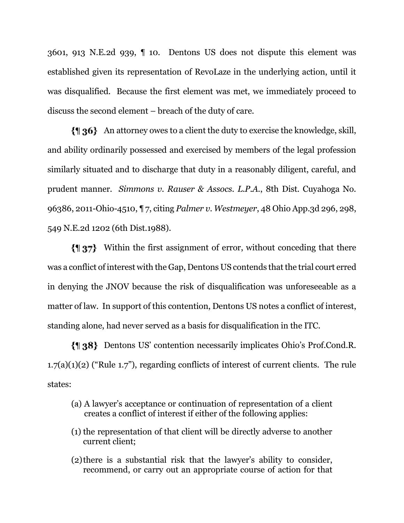3601, 913 N.E.2d 939, ¶ 10. Dentons US does not dispute this element was established given its representation of RevoLaze in the underlying action, until it was disqualified. Because the first element was met, we immediately proceed to discuss the second element – breach of the duty of care.

An attorney owes to a client the duty to exercise the knowledge, skill, and ability ordinarily possessed and exercised by members of the legal profession similarly situated and to discharge that duty in a reasonably diligent, careful, and prudent manner. *Simmons v. Rauser & Assocs. L.P.A.*, 8th Dist. Cuyahoga No. 96386, 2011-Ohio-4510, ¶ 7, citing *Palmer v. Westmeyer*, 48 Ohio App.3d 296, 298, 549 N.E.2d 1202 (6th Dist.1988).

Within the first assignment of error, without conceding that there was a conflict of interest with the Gap, Dentons US contends that the trial court erred in denying the JNOV because the risk of disqualification was unforeseeable as a matter of law. In support of this contention, Dentons US notes a conflict of interest, standing alone, had never served as a basis for disqualification in the ITC.

Dentons US' contention necessarily implicates Ohio's Prof.Cond.R. 1.7(a)(1)(2) ("Rule 1.7"), regarding conflicts of interest of current clients. The rule states:

- (a) A lawyer's acceptance or continuation of representation of a client creates a conflict of interest if either of the following applies:
- (1) the representation of that client will be directly adverse to another current client;
- (2)there is a substantial risk that the lawyer's ability to consider, recommend, or carry out an appropriate course of action for that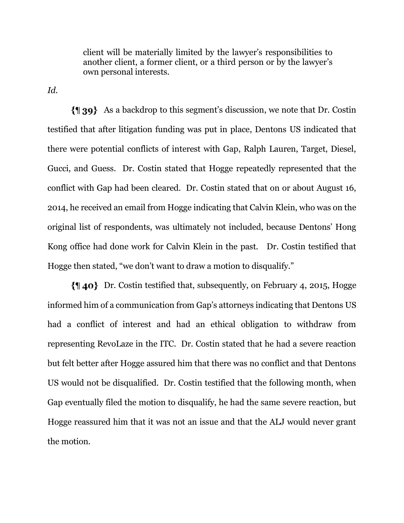client will be materially limited by the lawyer's responsibilities to another client, a former client, or a third person or by the lawyer's own personal interests.

*Id.*

As a backdrop to this segment's discussion, we note that Dr. Costin testified that after litigation funding was put in place, Dentons US indicated that there were potential conflicts of interest with Gap, Ralph Lauren, Target, Diesel, Gucci, and Guess. Dr. Costin stated that Hogge repeatedly represented that the conflict with Gap had been cleared. Dr. Costin stated that on or about August 16, 2014, he received an email from Hogge indicating that Calvin Klein, who was on the original list of respondents, was ultimately not included, because Dentons' Hong Kong office had done work for Calvin Klein in the past. Dr. Costin testified that Hogge then stated, "we don't want to draw a motion to disqualify."

Dr. Costin testified that, subsequently, on February 4, 2015, Hogge informed him of a communication from Gap's attorneys indicating that Dentons US had a conflict of interest and had an ethical obligation to withdraw from representing RevoLaze in the ITC. Dr. Costin stated that he had a severe reaction but felt better after Hogge assured him that there was no conflict and that Dentons US would not be disqualified. Dr. Costin testified that the following month, when Gap eventually filed the motion to disqualify, he had the same severe reaction, but Hogge reassured him that it was not an issue and that the ALJ would never grant the motion.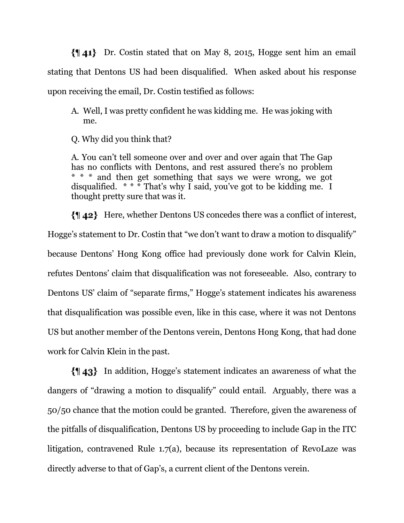Dr. Costin stated that on May 8, 2015, Hogge sent him an email stating that Dentons US had been disqualified. When asked about his response upon receiving the email, Dr. Costin testified as follows:

A. Well, I was pretty confident he was kidding me. He was joking with me.

Q. Why did you think that?

A. You can't tell someone over and over and over again that The Gap has no conflicts with Dentons, and rest assured there's no problem \* \* \* and then get something that says we were wrong, we got disqualified.  $* * * \text{That's why I said, you've got to be bidding me. I}$ thought pretty sure that was it.

Here, whether Dentons US concedes there was a conflict of interest, Hogge's statement to Dr. Costin that "we don't want to draw a motion to disqualify" because Dentons' Hong Kong office had previously done work for Calvin Klein, refutes Dentons' claim that disqualification was not foreseeable. Also, contrary to Dentons US' claim of "separate firms," Hogge's statement indicates his awareness that disqualification was possible even, like in this case, where it was not Dentons US but another member of the Dentons verein, Dentons Hong Kong, that had done work for Calvin Klein in the past.

In addition, Hogge's statement indicates an awareness of what the dangers of "drawing a motion to disqualify" could entail. Arguably, there was a 50/50 chance that the motion could be granted. Therefore, given the awareness of the pitfalls of disqualification, Dentons US by proceeding to include Gap in the ITC litigation, contravened Rule 1.7(a), because its representation of RevoLaze was directly adverse to that of Gap's, a current client of the Dentons verein.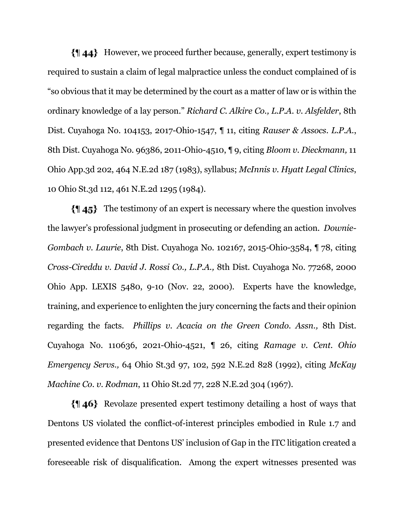However, we proceed further because, generally, expert testimony is required to sustain a claim of legal malpractice unless the conduct complained of is "so obvious that it may be determined by the court as a matter of law or is within the ordinary knowledge of a lay person." *Richard C. Alkire Co., L.P.A. v. Alsfelder*, 8th Dist. Cuyahoga No. 104153, 2017-Ohio-1547, ¶ 11, citing *Rauser & Assocs. L.P.A.*, 8th Dist. Cuyahoga No. 96386, 2011-Ohio-4510, ¶ 9, citing *Bloom v. Dieckmann,* 11 Ohio App.3d 202, 464 N.E.2d 187 (1983), syllabus; *McInnis v. Hyatt Legal Clinics*, 10 Ohio St.3d 112, 461 N.E.2d 1295 (1984).

The testimony of an expert is necessary where the question involves the lawyer's professional judgment in prosecuting or defending an action. *Downie-Gombach v. Laurie*, 8th Dist. Cuyahoga No. 102167, 2015-Ohio-3584, ¶ 78, citing *Cross-Cireddu v. David J. Rossi Co., L.P.A.,* 8th Dist. Cuyahoga No. 77268, 2000 Ohio App. LEXIS 5480, 9-10 (Nov. 22, 2000). Experts have the knowledge, training, and experience to enlighten the jury concerning the facts and their opinion regarding the facts. *Phillips v. Acacia on the Green Condo. Assn.,* 8th Dist. Cuyahoga No. 110636, 2021-Ohio-4521, ¶ 26, citing *Ramage v. Cent. Ohio Emergency Servs.,* 64 Ohio St.3d 97, 102, 592 N.E.2d 828 (1992), citing *McKay Machine Co. v. Rodman*, 11 Ohio St.2d 77, 228 N.E.2d 304 (1967).

Revolaze presented expert testimony detailing a host of ways that Dentons US violated the conflict-of-interest principles embodied in Rule 1.7 and presented evidence that Dentons US' inclusion of Gap in the ITC litigation created a foreseeable risk of disqualification. Among the expert witnesses presented was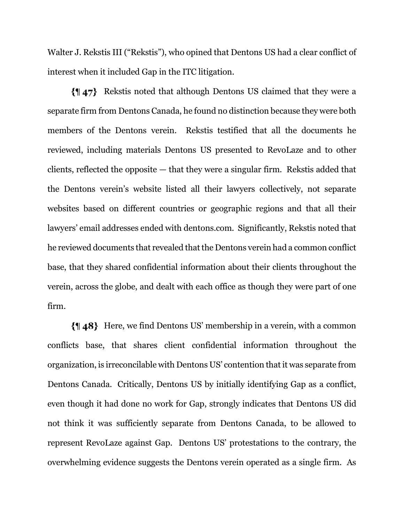Walter J. Rekstis III ("Rekstis"), who opined that Dentons US had a clear conflict of interest when it included Gap in the ITC litigation.

Rekstis noted that although Dentons US claimed that they were a separate firm from Dentons Canada, he found no distinction because they were both members of the Dentons verein. Rekstis testified that all the documents he reviewed, including materials Dentons US presented to RevoLaze and to other clients, reflected the opposite — that they were a singular firm. Rekstis added that the Dentons verein's website listed all their lawyers collectively, not separate websites based on different countries or geographic regions and that all their lawyers' email addresses ended with dentons.com. Significantly, Rekstis noted that he reviewed documents that revealed that the Dentons verein had a common conflict base, that they shared confidential information about their clients throughout the verein, across the globe, and dealt with each office as though they were part of one firm.

Here, we find Dentons US' membership in a verein, with a common conflicts base, that shares client confidential information throughout the organization, is irreconcilable with Dentons US' contention that it was separate from Dentons Canada. Critically, Dentons US by initially identifying Gap as a conflict, even though it had done no work for Gap, strongly indicates that Dentons US did not think it was sufficiently separate from Dentons Canada, to be allowed to represent RevoLaze against Gap. Dentons US' protestations to the contrary, the overwhelming evidence suggests the Dentons verein operated as a single firm. As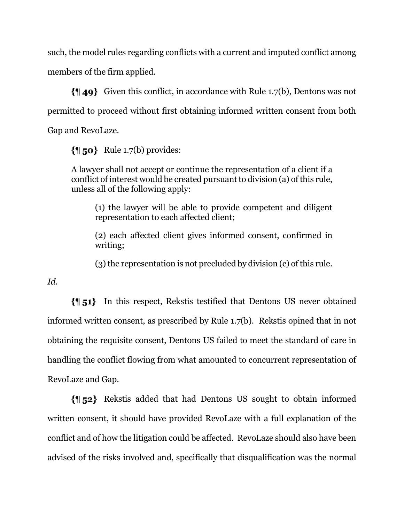such, the model rules regarding conflicts with a current and imputed conflict among members of the firm applied.

 $\{149\}$  Given this conflict, in accordance with Rule 1.7(b), Dentons was not permitted to proceed without first obtaining informed written consent from both Gap and RevoLaze.

 $\{\parallel$  50} Rule 1.7(b) provides:

A lawyer shall not accept or continue the representation of a client if a conflict of interest would be created pursuant to division (a) of this rule, unless all of the following apply:

(1) the lawyer will be able to provide competent and diligent representation to each affected client;

(2) each affected client gives informed consent, confirmed in writing;

(3) the representation is not precluded by division (c) of this rule.

*Id.*

In this respect, Rekstis testified that Dentons US never obtained informed written consent, as prescribed by Rule 1.7(b). Rekstis opined that in not obtaining the requisite consent, Dentons US failed to meet the standard of care in handling the conflict flowing from what amounted to concurrent representation of RevoLaze and Gap.

Rekstis added that had Dentons US sought to obtain informed written consent, it should have provided RevoLaze with a full explanation of the conflict and of how the litigation could be affected. RevoLaze should also have been advised of the risks involved and, specifically that disqualification was the normal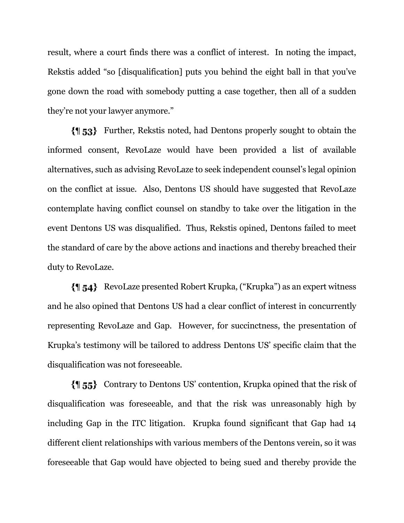result, where a court finds there was a conflict of interest. In noting the impact, Rekstis added "so [disqualification] puts you behind the eight ball in that you've gone down the road with somebody putting a case together, then all of a sudden they're not your lawyer anymore."

Further, Rekstis noted, had Dentons properly sought to obtain the informed consent, RevoLaze would have been provided a list of available alternatives, such as advising RevoLaze to seek independent counsel's legal opinion on the conflict at issue. Also, Dentons US should have suggested that RevoLaze contemplate having conflict counsel on standby to take over the litigation in the event Dentons US was disqualified. Thus, Rekstis opined, Dentons failed to meet the standard of care by the above actions and inactions and thereby breached their duty to RevoLaze.

RevoLaze presented Robert Krupka, ("Krupka") as an expert witness and he also opined that Dentons US had a clear conflict of interest in concurrently representing RevoLaze and Gap. However, for succinctness, the presentation of Krupka's testimony will be tailored to address Dentons US' specific claim that the disqualification was not foreseeable.

Contrary to Dentons US' contention, Krupka opined that the risk of disqualification was foreseeable, and that the risk was unreasonably high by including Gap in the ITC litigation. Krupka found significant that Gap had 14 different client relationships with various members of the Dentons verein, so it was foreseeable that Gap would have objected to being sued and thereby provide the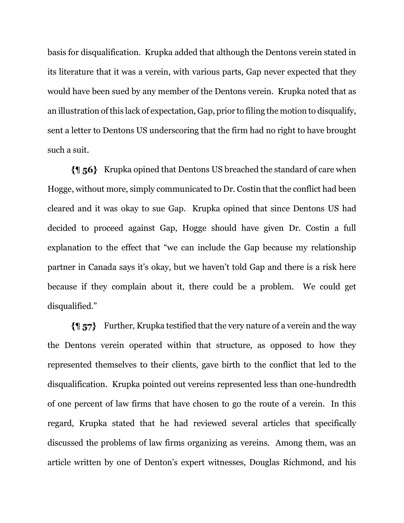basis for disqualification. Krupka added that although the Dentons verein stated in its literature that it was a verein, with various parts, Gap never expected that they would have been sued by any member of the Dentons verein. Krupka noted that as an illustration of this lack of expectation, Gap, prior to filing the motion to disqualify, sent a letter to Dentons US underscoring that the firm had no right to have brought such a suit.

**{**¶ **56**} Krupka opined that Dentons US breached the standard of care when Hogge, without more, simply communicated to Dr. Costin that the conflict had been cleared and it was okay to sue Gap. Krupka opined that since Dentons US had decided to proceed against Gap, Hogge should have given Dr. Costin a full explanation to the effect that "we can include the Gap because my relationship partner in Canada says it's okay, but we haven't told Gap and there is a risk here because if they complain about it, there could be a problem. We could get disqualified."

 $\{||\mathbf{s}||\mathbf{s}||\}$  Further, Krupka testified that the very nature of a verein and the way the Dentons verein operated within that structure, as opposed to how they represented themselves to their clients, gave birth to the conflict that led to the disqualification. Krupka pointed out vereins represented less than one-hundredth of one percent of law firms that have chosen to go the route of a verein. In this regard, Krupka stated that he had reviewed several articles that specifically discussed the problems of law firms organizing as vereins. Among them, was an article written by one of Denton's expert witnesses, Douglas Richmond, and his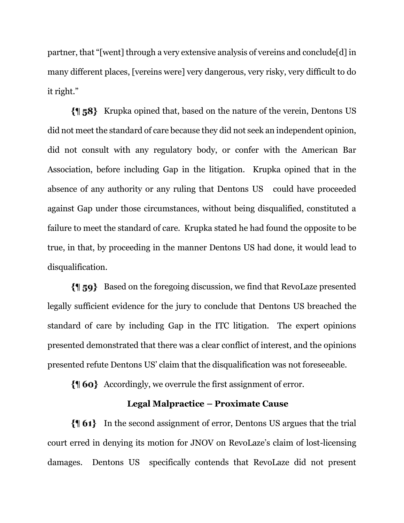partner, that "[went] through a very extensive analysis of vereins and conclude[d] in many different places, [vereins were] very dangerous, very risky, very difficult to do it right."

Krupka opined that, based on the nature of the verein, Dentons US did not meet the standard of care because they did not seek an independent opinion, did not consult with any regulatory body, or confer with the American Bar Association, before including Gap in the litigation. Krupka opined that in the absence of any authority or any ruling that Dentons US could have proceeded against Gap under those circumstances, without being disqualified, constituted a failure to meet the standard of care. Krupka stated he had found the opposite to be true, in that, by proceeding in the manner Dentons US had done, it would lead to disqualification.

Based on the foregoing discussion, we find that RevoLaze presented legally sufficient evidence for the jury to conclude that Dentons US breached the standard of care by including Gap in the ITC litigation. The expert opinions presented demonstrated that there was a clear conflict of interest, and the opinions presented refute Dentons US' claim that the disqualification was not foreseeable.

 $\{\parallel 6\sigma\}$  Accordingly, we overrule the first assignment of error.

## **Legal Malpractice – Proximate Cause**

In the second assignment of error, Dentons US argues that the trial court erred in denying its motion for JNOV on RevoLaze's claim of lost-licensing damages. Dentons US specifically contends that RevoLaze did not present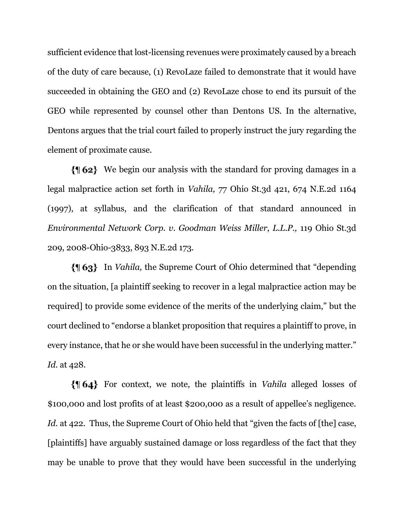sufficient evidence that lost-licensing revenues were proximately caused by a breach of the duty of care because, (1) RevoLaze failed to demonstrate that it would have succeeded in obtaining the GEO and (2) RevoLaze chose to end its pursuit of the GEO while represented by counsel other than Dentons US. In the alternative, Dentons argues that the trial court failed to properly instruct the jury regarding the element of proximate cause.

We begin our analysis with the standard for proving damages in a legal malpractice action set forth in *Vahila,* 77 Ohio St.3d 421, 674 N.E.2d 1164 (1997), at syllabus, and the clarification of that standard announced in *Environmental Network Corp. v. Goodman Weiss Miller, L.L.P.,* 119 Ohio St.3d 209, 2008-Ohio-3833, 893 N.E.2d 173.

In *Vahila,* the Supreme Court of Ohio determined that "depending on the situation, [a plaintiff seeking to recover in a legal malpractice action may be required] to provide some evidence of the merits of the underlying claim," but the court declined to "endorse a blanket proposition that requires a plaintiff to prove, in every instance, that he or she would have been successful in the underlying matter." *Id.* at 428.

For context, we note, the plaintiffs in *Vahila* alleged losses of \$100,000 and lost profits of at least \$200,000 as a result of appellee's negligence. *Id.* at 422. Thus, the Supreme Court of Ohio held that "given the facts of [the] case, [plaintiffs] have arguably sustained damage or loss regardless of the fact that they may be unable to prove that they would have been successful in the underlying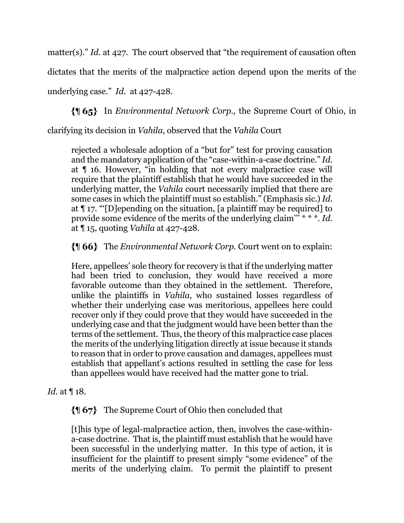matter(s)." *Id.* at 427. The court observed that "the requirement of causation often

dictates that the merits of the malpractice action depend upon the merits of the

underlying case." *Id.* at 427-428.

In *Environmental Network Corp.,* the Supreme Court of Ohio, in

clarifying its decision in *Vahila*, observed that the *Vahila* Court

rejected a wholesale adoption of a "but for" test for proving causation and the mandatory application of the "case-within-a-case doctrine." *Id.* at ¶ 16. However, "in holding that not every malpractice case will require that the plaintiff establish that he would have succeeded in the underlying matter, the *Vahila* court necessarily implied that there are some cases in which the plaintiff must so establish." (Emphasis sic.) *Id.* at ¶ 17. "'[D]epending on the situation, [a plaintiff may be required] to provide some evidence of the merits of the underlying claim''' \* \* \*. *Id*. at ¶ 15, quoting *Vahila* at 427-428.

The *Environmental Network Corp.* Court went on to explain:

Here, appellees' sole theory for recovery is that if the underlying matter had been tried to conclusion, they would have received a more favorable outcome than they obtained in the settlement. Therefore, unlike the plaintiffs in *Vahila*, who sustained losses regardless of whether their underlying case was meritorious, appellees here could recover only if they could prove that they would have succeeded in the underlying case and that the judgment would have been better than the terms of the settlement. Thus, the theory of this malpractice case places the merits of the underlying litigation directly at issue because it stands to reason that in order to prove causation and damages, appellees must establish that appellant's actions resulted in settling the case for less than appellees would have received had the matter gone to trial.

*Id.* at ¶ 18.

The Supreme Court of Ohio then concluded that

[t]his type of legal-malpractice action, then, involves the case-withina-case doctrine. That is, the plaintiff must establish that he would have been successful in the underlying matter. In this type of action, it is insufficient for the plaintiff to present simply "some evidence" of the merits of the underlying claim. To permit the plaintiff to present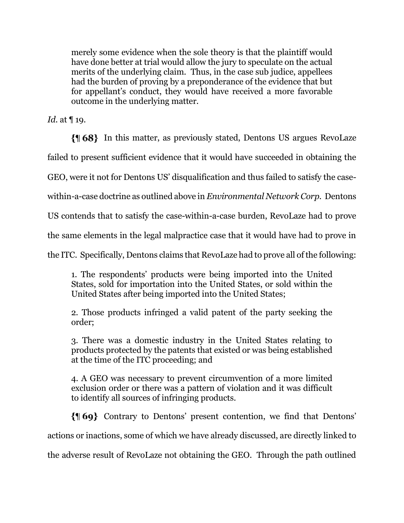merely some evidence when the sole theory is that the plaintiff would have done better at trial would allow the jury to speculate on the actual merits of the underlying claim. Thus, in the case sub judice, appellees had the burden of proving by a preponderance of the evidence that but for appellant's conduct, they would have received a more favorable outcome in the underlying matter.

*Id.* at ¶ 19.

In this matter, as previously stated, Dentons US argues RevoLaze

failed to present sufficient evidence that it would have succeeded in obtaining the

GEO, were it not for Dentons US' disqualification and thus failed to satisfy the case-

within-a-case doctrine as outlined above in *Environmental Network Corp.* Dentons

US contends that to satisfy the case-within-a-case burden, RevoLaze had to prove

the same elements in the legal malpractice case that it would have had to prove in

the ITC. Specifically, Dentons claims that RevoLaze had to prove all of the following:

1. The respondents' products were being imported into the United States, sold for importation into the United States, or sold within the United States after being imported into the United States;

2. Those products infringed a valid patent of the party seeking the order;

3. There was a domestic industry in the United States relating to products protected by the patents that existed or was being established at the time of the ITC proceeding; and

4. A GEO was necessary to prevent circumvention of a more limited exclusion order or there was a pattern of violation and it was difficult to identify all sources of infringing products.

Contrary to Dentons' present contention, we find that Dentons' actions or inactions, some of which we have already discussed, are directly linked to the adverse result of RevoLaze not obtaining the GEO. Through the path outlined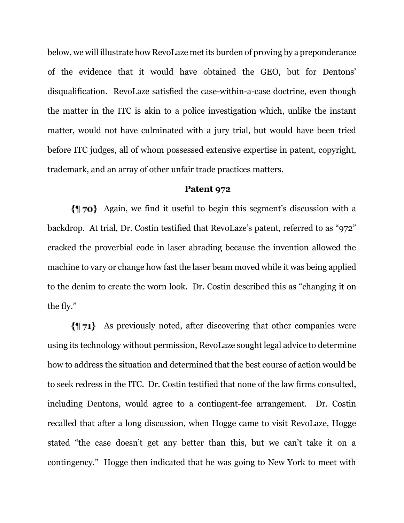below, we will illustrate how RevoLaze met its burden of proving by a preponderance of the evidence that it would have obtained the GEO, but for Dentons' disqualification. RevoLaze satisfied the case-within-a-case doctrine, even though the matter in the ITC is akin to a police investigation which, unlike the instant matter, would not have culminated with a jury trial, but would have been tried before ITC judges, all of whom possessed extensive expertise in patent, copyright, trademark, and an array of other unfair trade practices matters.

#### **Patent 972**

Again, we find it useful to begin this segment's discussion with a backdrop. At trial, Dr. Costin testified that RevoLaze's patent, referred to as "972" cracked the proverbial code in laser abrading because the invention allowed the machine to vary or change how fast the laser beam moved while it was being applied to the denim to create the worn look. Dr. Costin described this as "changing it on the fly."

As previously noted, after discovering that other companies were using its technology without permission, RevoLaze sought legal advice to determine how to address the situation and determined that the best course of action would be to seek redress in the ITC. Dr. Costin testified that none of the law firms consulted, including Dentons, would agree to a contingent-fee arrangement. Dr. Costin recalled that after a long discussion, when Hogge came to visit RevoLaze, Hogge stated "the case doesn't get any better than this, but we can't take it on a contingency." Hogge then indicated that he was going to New York to meet with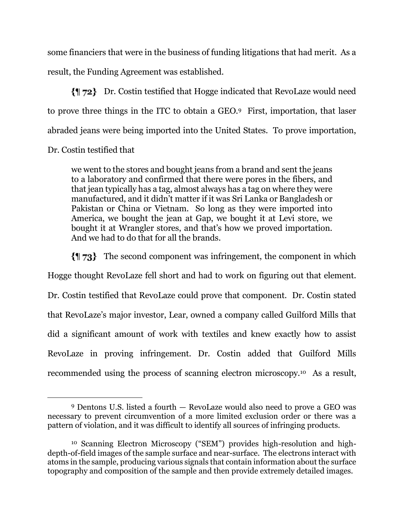some financiers that were in the business of funding litigations that had merit. As a result, the Funding Agreement was established.

Dr. Costin testified that Hogge indicated that RevoLaze would need to prove three things in the ITC to obtain a GEO.9 First, importation, that laser abraded jeans were being imported into the United States. To prove importation,

Dr. Costin testified that

we went to the stores and bought jeans from a brand and sent the jeans to a laboratory and confirmed that there were pores in the fibers, and that jean typically has a tag, almost always has a tag on where they were manufactured, and it didn't matter if it was Sri Lanka or Bangladesh or Pakistan or China or Vietnam. So long as they were imported into America, we bought the jean at Gap, we bought it at Levi store, we bought it at Wrangler stores, and that's how we proved importation. And we had to do that for all the brands.

 $\{\parallel$  73} The second component was infringement, the component in which Hogge thought RevoLaze fell short and had to work on figuring out that element. Dr. Costin testified that RevoLaze could prove that component. Dr. Costin stated that RevoLaze's major investor, Lear, owned a company called Guilford Mills that did a significant amount of work with textiles and knew exactly how to assist RevoLaze in proving infringement. Dr. Costin added that Guilford Mills recommended using the process of scanning electron microscopy.10 As a result,

<sup>9</sup> Dentons U.S. listed a fourth — RevoLaze would also need to prove a GEO was necessary to prevent circumvention of a more limited exclusion order or there was a pattern of violation, and it was difficult to identify all sources of infringing products.

<sup>10</sup> Scanning Electron Microscopy ("SEM") provides high-resolution and highdepth-of-field images of the sample surface and near-surface. The electrons interact with atoms in the sample, producing various signals that contain information about the surface topography and composition of the sample and then provide extremely detailed images.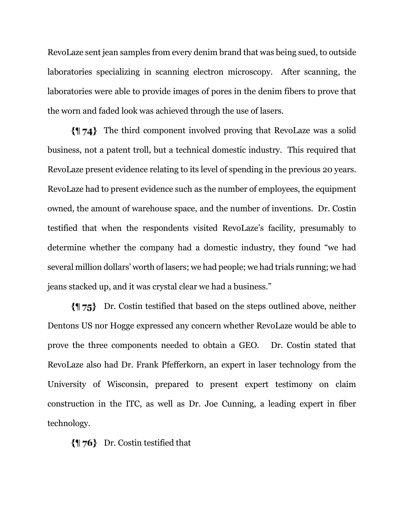RevoLaze sent jean samples from every denim brand that was being sued, to outside laboratories specializing in scanning electron microscopy. After scanning, the laboratories were able to provide images of pores in the denim fibers to prove that the worn and faded look was achieved through the use of lasers.

The third component involved proving that RevoLaze was a solid business, not a patent troll, but a technical domestic industry. This required that RevoLaze present evidence relating to its level of spending in the previous 20 years. RevoLaze had to present evidence such as the number of employees, the equipment owned, the amount of warehouse space, and the number of inventions. Dr. Costin testified that when the respondents visited RevoLaze's facility, presumably to determine whether the company had a domestic industry, they found "we had several million dollars' worth of lasers; we had people; we had trials running; we had jeans stacked up, and it was crystal clear we had a business."

Dr. Costin testified that based on the steps outlined above, neither Dentons US nor Hogge expressed any concern whether RevoLaze would be able to prove the three components needed to obtain a GEO. Dr. Costin stated that RevoLaze also had Dr. Frank Pfefferkorn, an expert in laser technology from the University of Wisconsin, prepared to present expert testimony on claim construction in the ITC, as well as Dr. Joe Cunning, a leading expert in fiber technology.

 $\{\parallel$  76 Dr. Costin testified that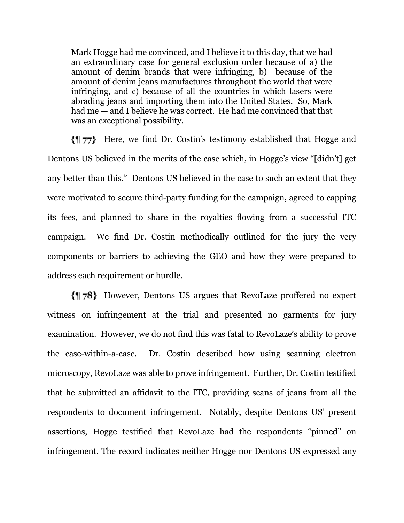Mark Hogge had me convinced, and I believe it to this day, that we had an extraordinary case for general exclusion order because of a) the amount of denim brands that were infringing, b) because of the amount of denim jeans manufactures throughout the world that were infringing, and c) because of all the countries in which lasers were abrading jeans and importing them into the United States. So, Mark had me — and I believe he was correct. He had me convinced that that was an exceptional possibility.

Here, we find Dr. Costin's testimony established that Hogge and Dentons US believed in the merits of the case which, in Hogge's view "[didn't] get any better than this." Dentons US believed in the case to such an extent that they were motivated to secure third-party funding for the campaign, agreed to capping its fees, and planned to share in the royalties flowing from a successful ITC campaign. We find Dr. Costin methodically outlined for the jury the very components or barriers to achieving the GEO and how they were prepared to address each requirement or hurdle.

However, Dentons US argues that RevoLaze proffered no expert witness on infringement at the trial and presented no garments for jury examination. However, we do not find this was fatal to RevoLaze's ability to prove the case-within-a-case. Dr. Costin described how using scanning electron microscopy, RevoLaze was able to prove infringement. Further, Dr. Costin testified that he submitted an affidavit to the ITC, providing scans of jeans from all the respondents to document infringement. Notably, despite Dentons US' present assertions, Hogge testified that RevoLaze had the respondents "pinned" on infringement. The record indicates neither Hogge nor Dentons US expressed any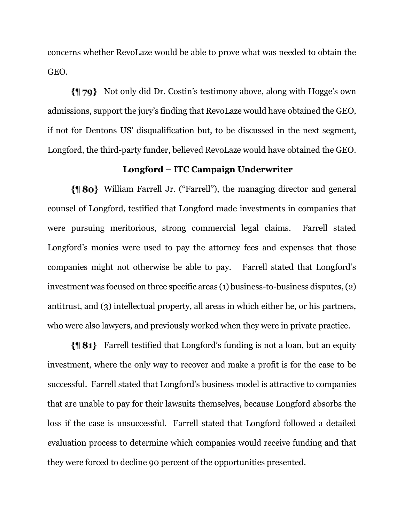concerns whether RevoLaze would be able to prove what was needed to obtain the GEO.

Not only did Dr. Costin's testimony above, along with Hogge's own admissions, support the jury's finding that RevoLaze would have obtained the GEO, if not for Dentons US' disqualification but, to be discussed in the next segment, Longford, the third-party funder, believed RevoLaze would have obtained the GEO.

### **Longford – ITC Campaign Underwriter**

William Farrell Jr. ("Farrell"), the managing director and general counsel of Longford, testified that Longford made investments in companies that were pursuing meritorious, strong commercial legal claims. Farrell stated Longford's monies were used to pay the attorney fees and expenses that those companies might not otherwise be able to pay. Farrell stated that Longford's investment was focused on three specific areas (1) business-to-business disputes, (2) antitrust, and (3) intellectual property, all areas in which either he, or his partners, who were also lawyers, and previously worked when they were in private practice.

Farrell testified that Longford's funding is not a loan, but an equity investment, where the only way to recover and make a profit is for the case to be successful. Farrell stated that Longford's business model is attractive to companies that are unable to pay for their lawsuits themselves, because Longford absorbs the loss if the case is unsuccessful. Farrell stated that Longford followed a detailed evaluation process to determine which companies would receive funding and that they were forced to decline 90 percent of the opportunities presented.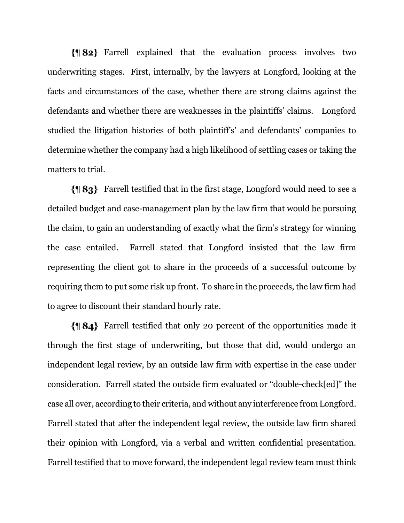Farrell explained that the evaluation process involves two underwriting stages. First, internally, by the lawyers at Longford, looking at the facts and circumstances of the case, whether there are strong claims against the defendants and whether there are weaknesses in the plaintiffs' claims. Longford studied the litigation histories of both plaintiff's' and defendants' companies to determine whether the company had a high likelihood of settling cases or taking the matters to trial.

Farrell testified that in the first stage, Longford would need to see a detailed budget and case-management plan by the law firm that would be pursuing the claim, to gain an understanding of exactly what the firm's strategy for winning the case entailed. Farrell stated that Longford insisted that the law firm representing the client got to share in the proceeds of a successful outcome by requiring them to put some risk up front. To share in the proceeds, the law firm had to agree to discount their standard hourly rate.

Farrell testified that only 20 percent of the opportunities made it through the first stage of underwriting, but those that did, would undergo an independent legal review, by an outside law firm with expertise in the case under consideration. Farrell stated the outside firm evaluated or "double-check[ed]" the case all over, according to their criteria, and without any interference from Longford. Farrell stated that after the independent legal review, the outside law firm shared their opinion with Longford, via a verbal and written confidential presentation. Farrell testified that to move forward, the independent legal review team must think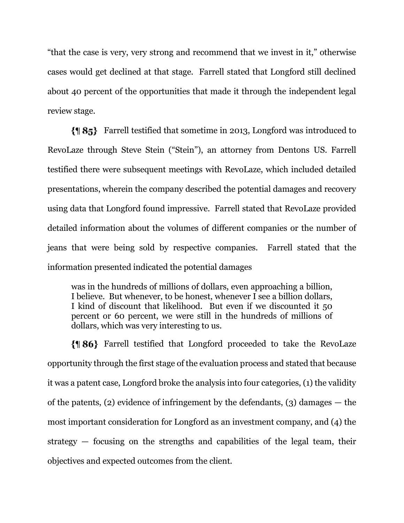"that the case is very, very strong and recommend that we invest in it," otherwise cases would get declined at that stage. Farrell stated that Longford still declined about 40 percent of the opportunities that made it through the independent legal review stage.

Farrell testified that sometime in 2013, Longford was introduced to RevoLaze through Steve Stein ("Stein"), an attorney from Dentons US. Farrell testified there were subsequent meetings with RevoLaze, which included detailed presentations, wherein the company described the potential damages and recovery using data that Longford found impressive. Farrell stated that RevoLaze provided detailed information about the volumes of different companies or the number of jeans that were being sold by respective companies. Farrell stated that the information presented indicated the potential damages

was in the hundreds of millions of dollars, even approaching a billion, I believe. But whenever, to be honest, whenever I see a billion dollars, I kind of discount that likelihood. But even if we discounted it 50 percent or 60 percent, we were still in the hundreds of millions of dollars, which was very interesting to us.

Farrell testified that Longford proceeded to take the RevoLaze opportunity through the first stage of the evaluation process and stated that because it was a patent case, Longford broke the analysis into four categories, (1) the validity of the patents, (2) evidence of infringement by the defendants, (3) damages — the most important consideration for Longford as an investment company, and (4) the strategy — focusing on the strengths and capabilities of the legal team, their objectives and expected outcomes from the client.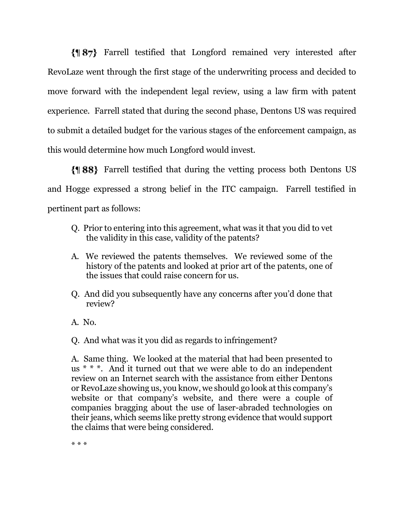Farrell testified that Longford remained very interested after RevoLaze went through the first stage of the underwriting process and decided to move forward with the independent legal review, using a law firm with patent experience. Farrell stated that during the second phase, Dentons US was required to submit a detailed budget for the various stages of the enforcement campaign, as this would determine how much Longford would invest.

Farrell testified that during the vetting process both Dentons US and Hogge expressed a strong belief in the ITC campaign. Farrell testified in pertinent part as follows:

- Q. Prior to entering into this agreement, what was it that you did to vet the validity in this case, validity of the patents?
- A. We reviewed the patents themselves. We reviewed some of the history of the patents and looked at prior art of the patents, one of the issues that could raise concern for us.
- Q. And did you subsequently have any concerns after you'd done that review?
- A. No.
- Q. And what was it you did as regards to infringement?

A. Same thing. We looked at the material that had been presented to us \* \* \*. And it turned out that we were able to do an independent review on an Internet search with the assistance from either Dentons or RevoLaze showing us, you know, we should go look at this company's website or that company's website, and there were a couple of companies bragging about the use of laser-abraded technologies on their jeans, which seems like pretty strong evidence that would support the claims that were being considered.

\* \* \*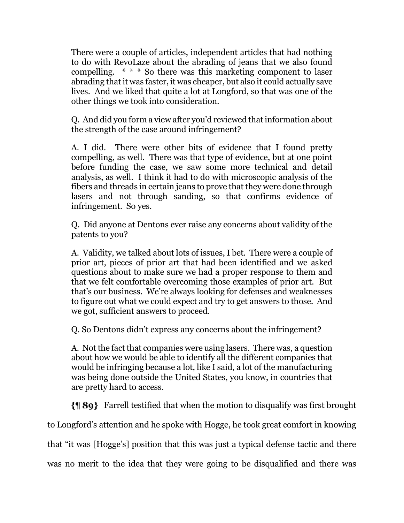There were a couple of articles, independent articles that had nothing to do with RevoLaze about the abrading of jeans that we also found compelling. \* \* \* So there was this marketing component to laser abrading that it was faster, it was cheaper, but also it could actually save lives. And we liked that quite a lot at Longford, so that was one of the other things we took into consideration.

Q. And did you form a view after you'd reviewed that information about the strength of the case around infringement?

A. I did. There were other bits of evidence that I found pretty compelling, as well. There was that type of evidence, but at one point before funding the case, we saw some more technical and detail analysis, as well. I think it had to do with microscopic analysis of the fibers and threads in certain jeans to prove that they were done through lasers and not through sanding, so that confirms evidence of infringement. So yes.

Q. Did anyone at Dentons ever raise any concerns about validity of the patents to you?

A. Validity, we talked about lots of issues, I bet. There were a couple of prior art, pieces of prior art that had been identified and we asked questions about to make sure we had a proper response to them and that we felt comfortable overcoming those examples of prior art. But that's our business. We're always looking for defenses and weaknesses to figure out what we could expect and try to get answers to those. And we got, sufficient answers to proceed.

Q. So Dentons didn't express any concerns about the infringement?

A. Not the fact that companies were using lasers. There was, a question about how we would be able to identify all the different companies that would be infringing because a lot, like I said, a lot of the manufacturing was being done outside the United States, you know, in countries that are pretty hard to access.

Farrell testified that when the motion to disqualify was first brought

to Longford's attention and he spoke with Hogge, he took great comfort in knowing

that "it was [Hogge's] position that this was just a typical defense tactic and there

was no merit to the idea that they were going to be disqualified and there was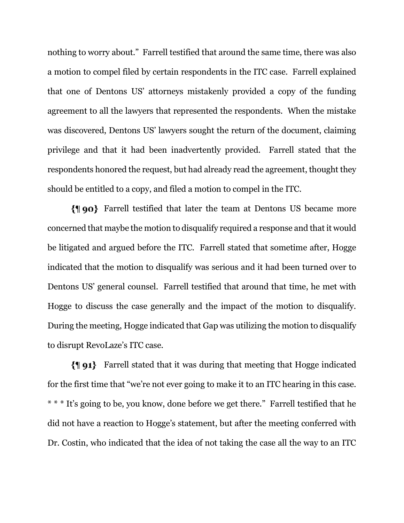nothing to worry about." Farrell testified that around the same time, there was also a motion to compel filed by certain respondents in the ITC case. Farrell explained that one of Dentons US' attorneys mistakenly provided a copy of the funding agreement to all the lawyers that represented the respondents. When the mistake was discovered, Dentons US' lawyers sought the return of the document, claiming privilege and that it had been inadvertently provided. Farrell stated that the respondents honored the request, but had already read the agreement, thought they should be entitled to a copy, and filed a motion to compel in the ITC.

Farrell testified that later the team at Dentons US became more concerned that maybe the motion to disqualify required a response and that it would be litigated and argued before the ITC. Farrell stated that sometime after, Hogge indicated that the motion to disqualify was serious and it had been turned over to Dentons US' general counsel. Farrell testified that around that time, he met with Hogge to discuss the case generally and the impact of the motion to disqualify. During the meeting, Hogge indicated that Gap was utilizing the motion to disqualify to disrupt RevoLaze's ITC case.

Farrell stated that it was during that meeting that Hogge indicated for the first time that "we're not ever going to make it to an ITC hearing in this case. \* \* \* It's going to be, you know, done before we get there." Farrell testified that he did not have a reaction to Hogge's statement, but after the meeting conferred with Dr. Costin, who indicated that the idea of not taking the case all the way to an ITC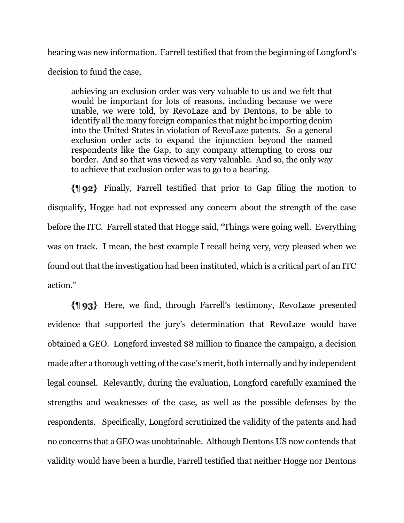hearing was new information. Farrell testified that from the beginning of Longford's decision to fund the case,

achieving an exclusion order was very valuable to us and we felt that would be important for lots of reasons, including because we were unable, we were told, by RevoLaze and by Dentons, to be able to identify all the many foreign companies that might be importing denim into the United States in violation of RevoLaze patents. So a general exclusion order acts to expand the injunction beyond the named respondents like the Gap, to any company attempting to cross our border. And so that was viewed as very valuable. And so, the only way to achieve that exclusion order was to go to a hearing.

Finally, Farrell testified that prior to Gap filing the motion to disqualify, Hogge had not expressed any concern about the strength of the case before the ITC. Farrell stated that Hogge said, "Things were going well. Everything was on track. I mean, the best example I recall being very, very pleased when we found out that the investigation had been instituted, which is a critical part of an ITC action."

Here, we find, through Farrell's testimony, RevoLaze presented evidence that supported the jury's determination that RevoLaze would have obtained a GEO. Longford invested \$8 million to finance the campaign, a decision made after a thorough vetting of the case's merit, both internally and by independent legal counsel. Relevantly, during the evaluation, Longford carefully examined the strengths and weaknesses of the case, as well as the possible defenses by the respondents. Specifically, Longford scrutinized the validity of the patents and had no concerns that a GEO was unobtainable. Although Dentons US now contends that validity would have been a hurdle, Farrell testified that neither Hogge nor Dentons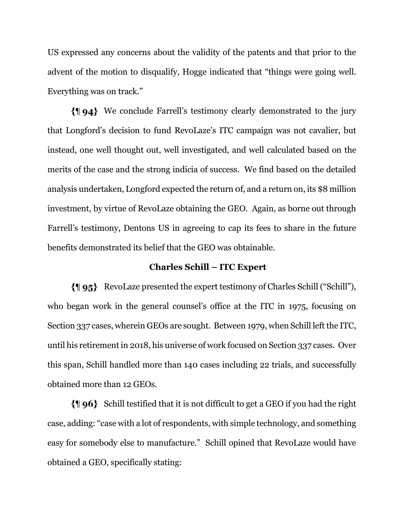US expressed any concerns about the validity of the patents and that prior to the advent of the motion to disqualify, Hogge indicated that "things were going well. Everything was on track."

We conclude Farrell's testimony clearly demonstrated to the jury that Longford's decision to fund RevoLaze's ITC campaign was not cavalier, but instead, one well thought out, well investigated, and well calculated based on the merits of the case and the strong indicia of success. We find based on the detailed analysis undertaken, Longford expected the return 0f, and a return on, its \$8 million investment, by virtue of RevoLaze obtaining the GEO. Again, as borne out through Farrell's testimony, Dentons US in agreeing to cap its fees to share in the future benefits demonstrated its belief that the GEO was obtainable.

### **Charles Schill – ITC Expert**

RevoLaze presented the expert testimony of Charles Schill ("Schill"), who began work in the general counsel's office at the ITC in 1975, focusing on Section 337 cases, wherein GEOs are sought. Between 1979, when Schill left the ITC, until his retirement in 2018, his universe of work focused on Section 337 cases. Over this span, Schill handled more than 140 cases including 22 trials, and successfully obtained more than 12 GEOs.

Schill testified that it is not difficult to get a GEO if you had the right case, adding: "case with a lot of respondents, with simple technology, and something easy for somebody else to manufacture." Schill opined that RevoLaze would have obtained a GEO, specifically stating: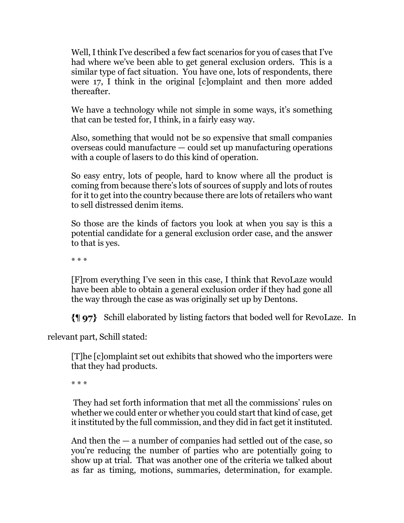Well, I think I've described a few fact scenarios for you of cases that I've had where we've been able to get general exclusion orders. This is a similar type of fact situation. You have one, lots of respondents, there were 17, I think in the original [c]omplaint and then more added thereafter.

We have a technology while not simple in some ways, it's something that can be tested for, I think, in a fairly easy way.

Also, something that would not be so expensive that small companies overseas could manufacture — could set up manufacturing operations with a couple of lasers to do this kind of operation.

So easy entry, lots of people, hard to know where all the product is coming from because there's lots of sources of supply and lots of routes for it to get into the country because there are lots of retailers who want to sell distressed denim items.

So those are the kinds of factors you look at when you say is this a potential candidate for a general exclusion order case, and the answer to that is yes.

\* \* \*

[F]rom everything I've seen in this case, I think that RevoLaze would have been able to obtain a general exclusion order if they had gone all the way through the case as was originally set up by Dentons.

Schill elaborated by listing factors that boded well for RevoLaze. In

relevant part, Schill stated:

[T]he [c]omplaint set out exhibits that showed who the importers were that they had products.

\* \* \*

They had set forth information that met all the commissions' rules on whether we could enter or whether you could start that kind of case, get it instituted by the full commission, and they did in fact get it instituted.

And then the — a number of companies had settled out of the case, so you're reducing the number of parties who are potentially going to show up at trial. That was another one of the criteria we talked about as far as timing, motions, summaries, determination, for example.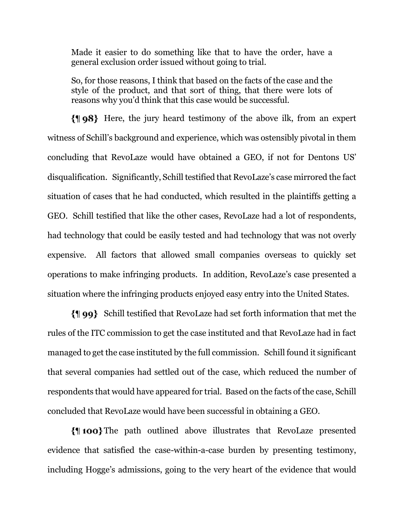Made it easier to do something like that to have the order, have a general exclusion order issued without going to trial.

So, for those reasons, I think that based on the facts of the case and the style of the product, and that sort of thing, that there were lots of reasons why you'd think that this case would be successful.

Here, the jury heard testimony of the above ilk, from an expert witness of Schill's background and experience, which was ostensibly pivotal in them concluding that RevoLaze would have obtained a GEO, if not for Dentons US' disqualification. Significantly, Schill testified that RevoLaze's case mirrored the fact situation of cases that he had conducted, which resulted in the plaintiffs getting a GEO. Schill testified that like the other cases, RevoLaze had a lot of respondents, had technology that could be easily tested and had technology that was not overly expensive. All factors that allowed small companies overseas to quickly set operations to make infringing products. In addition, RevoLaze's case presented a situation where the infringing products enjoyed easy entry into the United States.

Schill testified that RevoLaze had set forth information that met the rules of the ITC commission to get the case instituted and that RevoLaze had in fact managed to get the case instituted by the full commission. Schill found it significant that several companies had settled out of the case, which reduced the number of respondents that would have appeared for trial. Based on the facts of the case, Schill concluded that RevoLaze would have been successful in obtaining a GEO.

The path outlined above illustrates that RevoLaze presented evidence that satisfied the case-within-a-case burden by presenting testimony, including Hogge's admissions, going to the very heart of the evidence that would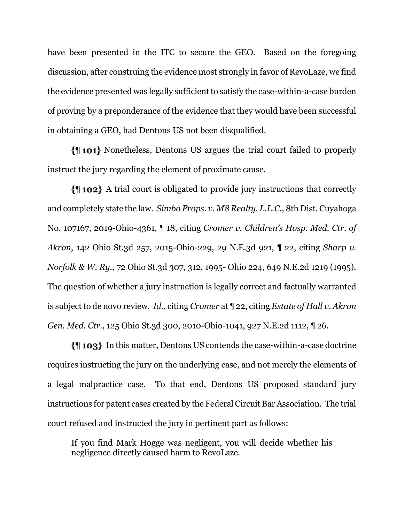have been presented in the ITC to secure the GEO. Based on the foregoing discussion, after construing the evidence most strongly in favor of RevoLaze, we find the evidence presented was legally sufficient to satisfy the case-within-a-case burden of proving by a preponderance of the evidence that they would have been successful in obtaining a GEO, had Dentons US not been disqualified.

Nonetheless, Dentons US argues the trial court failed to properly instruct the jury regarding the element of proximate cause.

A trial court is obligated to provide jury instructions that correctly and completely state the law. *Simbo Props. v. M8 Realty, L.L.C.,* 8th Dist. Cuyahoga No. 107167, 2019-Ohio-4361, ¶ 18, citing *Cromer v. Children's Hosp. Med. Ctr. of Akron*, 142 Ohio St.3d 257, 2015-Ohio-229, 29 N.E.3d 921, ¶ 22, citing *Sharp v. Norfolk & W. Ry.,* 72 Ohio St.3d 307, 312, 1995- Ohio 224, 649 N.E.2d 1219 (1995). The question of whether a jury instruction is legally correct and factually warranted is subject to de novo review. *Id.*, citing *Cromer* at ¶ 22, citing *Estate of Hall v. Akron Gen. Med. Ctr.*, 125 Ohio St.3d 300, 2010-Ohio-1041, 927 N.E.2d 1112, ¶ 26.

In this matter, Dentons US contends the case-within-a-case doctrine requires instructing the jury on the underlying case, and not merely the elements of a legal malpractice case. To that end, Dentons US proposed standard jury instructions for patent cases created by the Federal Circuit Bar Association. The trial court refused and instructed the jury in pertinent part as follows:

If you find Mark Hogge was negligent, you will decide whether his negligence directly caused harm to RevoLaze.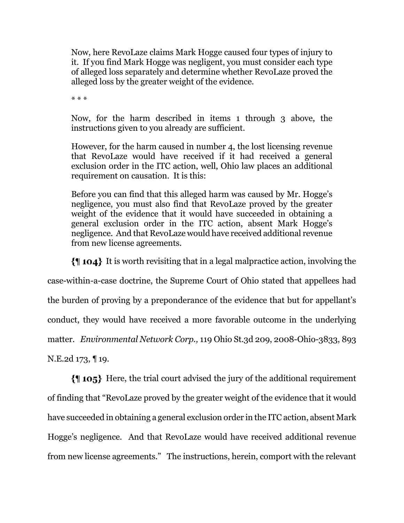Now, here RevoLaze claims Mark Hogge caused four types of injury to it. If you find Mark Hogge was negligent, you must consider each type of alleged loss separately and determine whether RevoLaze proved the alleged loss by the greater weight of the evidence.

\* \* \*

Now, for the harm described in items 1 through 3 above, the instructions given to you already are sufficient.

However, for the harm caused in number 4, the lost licensing revenue that RevoLaze would have received if it had received a general exclusion order in the ITC action, well, Ohio law places an additional requirement on causation. It is this:

Before you can find that this alleged harm was caused by Mr. Hogge's negligence, you must also find that RevoLaze proved by the greater weight of the evidence that it would have succeeded in obtaining a general exclusion order in the ITC action, absent Mark Hogge's negligence. And that RevoLaze would have received additional revenue from new license agreements.

It is worth revisiting that in a legal malpractice action, involving the case-within-a-case doctrine, the Supreme Court of Ohio stated that appellees had the burden of proving by a preponderance of the evidence that but for appellant's conduct, they would have received a more favorable outcome in the underlying matter. *Environmental Network Corp.,* 119 Ohio St.3d 209, 2008-Ohio-3833, 893 N.E.2d 173, ¶ 19.

Here, the trial court advised the jury of the additional requirement of finding that "RevoLaze proved by the greater weight of the evidence that it would have succeeded in obtaining a general exclusion order in the ITC action, absent Mark Hogge's negligence. And that RevoLaze would have received additional revenue from new license agreements." The instructions, herein, comport with the relevant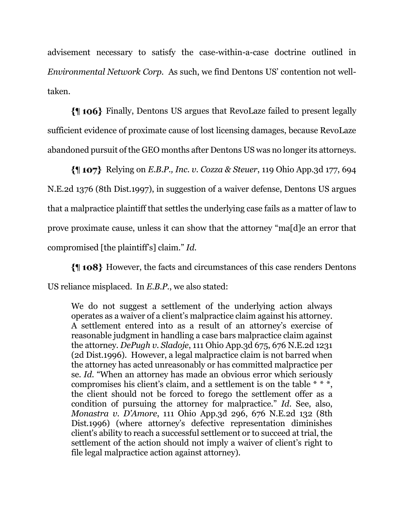advisement necessary to satisfy the case-within-a-case doctrine outlined in *Environmental Network Corp.* As such, we find Dentons US' contention not welltaken.

Finally, Dentons US argues that RevoLaze failed to present legally sufficient evidence of proximate cause of lost licensing damages, because RevoLaze abandoned pursuit of the GEO months after Dentons US was no longer its attorneys.

Relying on *E.B.P., Inc. v. Cozza & Steuer*, 119 Ohio App.3d 177, 694 N.E.2d 1376 (8th Dist.1997), in suggestion of a waiver defense, Dentons US argues that a malpractice plaintiff that settles the underlying case fails as a matter of law to prove proximate cause, unless it can show that the attorney "ma[d]e an error that compromised [the plaintiff's] claim." *Id.* 

However, the facts and circumstances of this case renders Dentons US reliance misplaced. In *E.B.P.*, we also stated:

We do not suggest a settlement of the underlying action always operates as a waiver of a client's malpractice claim against his attorney. A settlement entered into as a result of an attorney's exercise of reasonable judgment in handling a case bars malpractice claim against the attorney. *DePugh v. Sladoje*, 111 Ohio App.3d 675, 676 N.E.2d 1231 (2d Dist.1996). However, a legal malpractice claim is not barred when the attorney has acted unreasonably or has committed malpractice per se. *Id.* "When an attorney has made an obvious error which seriously compromises his client's claim, and a settlement is on the table  $* * *$ , the client should not be forced to forego the settlement offer as a condition of pursuing the attorney for malpractice." *Id.* See, also, *Monastra v. D'Amore*, 111 Ohio App.3d 296, 676 N.E.2d 132 (8th Dist.1996) (where attorney's defective representation diminishes client's ability to reach a successful settlement or to succeed at trial, the settlement of the action should not imply a waiver of client's right to file legal malpractice action against attorney).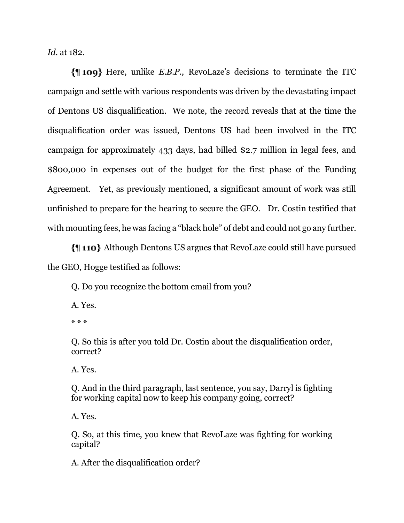*Id.* at 182*.*

Here, unlike *E.B.P.,* RevoLaze's decisions to terminate the ITC campaign and settle with various respondents was driven by the devastating impact of Dentons US disqualification. We note, the record reveals that at the time the disqualification order was issued, Dentons US had been involved in the ITC campaign for approximately 433 days, had billed \$2.7 million in legal fees, and \$800,000 in expenses out of the budget for the first phase of the Funding Agreement. Yet, as previously mentioned, a significant amount of work was still unfinished to prepare for the hearing to secure the GEO. Dr. Costin testified that with mounting fees, he was facing a "black hole" of debt and could not go any further.

Although Dentons US argues that RevoLaze could still have pursued the GEO, Hogge testified as follows:

Q. Do you recognize the bottom email from you?

A. Yes.

\* \* \*

Q. So this is after you told Dr. Costin about the disqualification order, correct?

A. Yes.

Q. And in the third paragraph, last sentence, you say, Darryl is fighting for working capital now to keep his company going, correct?

A. Yes.

Q. So, at this time, you knew that RevoLaze was fighting for working capital?

A. After the disqualification order?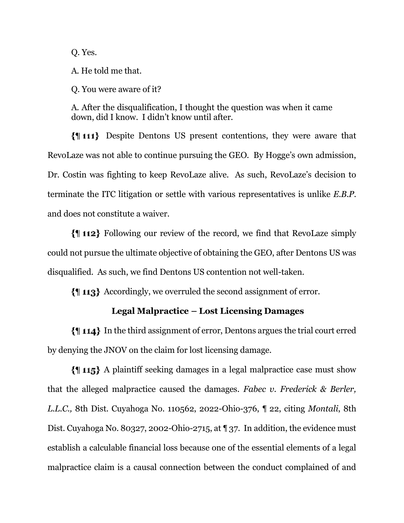Q. Yes.

A. He told me that.

Q. You were aware of it?

A. After the disqualification, I thought the question was when it came down, did I know. I didn't know until after.

Despite Dentons US present contentions, they were aware that RevoLaze was not able to continue pursuing the GEO. By Hogge's own admission, Dr. Costin was fighting to keep RevoLaze alive. As such, RevoLaze's decision to terminate the ITC litigation or settle with various representatives is unlike *E.B.P.* and does not constitute a waiver.

Following our review of the record, we find that RevoLaze simply could not pursue the ultimate objective of obtaining the GEO, after Dentons US was disqualified. As such, we find Dentons US contention not well-taken.

Accordingly, we overruled the second assignment of error.

## **Legal Malpractice – Lost Licensing Damages**

In the third assignment of error, Dentons argues the trial court erred by denying the JNOV on the claim for lost licensing damage.

A plaintiff seeking damages in a legal malpractice case must show that the alleged malpractice caused the damages. *Fabec v. Frederick & Berler, L.L.C.,* 8th Dist. Cuyahoga No. 110562, 2022-Ohio-376, ¶ 22, citing *Montali*, 8th Dist. Cuyahoga No. 80327, 2002-Ohio-2715, at ¶ 37. In addition, the evidence must establish a calculable financial loss because one of the essential elements of a legal malpractice claim is a causal connection between the conduct complained of and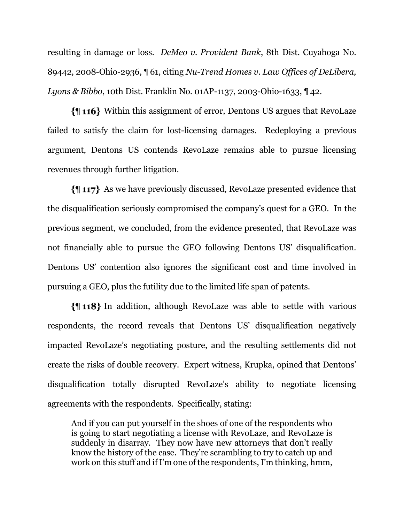resulting in damage or loss. *DeMeo v. Provident Bank*, 8th Dist. Cuyahoga No. 89442, 2008-Ohio-2936, ¶ 61, citing *Nu-Trend Homes v. Law Offices of DeLibera, Lyons & Bibbo*, 10th Dist. Franklin No. 01AP-1137, 2003-Ohio-1633, ¶ 42.

Within this assignment of error, Dentons US argues that RevoLaze failed to satisfy the claim for lost-licensing damages. Redeploying a previous argument, Dentons US contends RevoLaze remains able to pursue licensing revenues through further litigation.

As we have previously discussed, RevoLaze presented evidence that the disqualification seriously compromised the company's quest for a GEO. In the previous segment, we concluded, from the evidence presented, that RevoLaze was not financially able to pursue the GEO following Dentons US' disqualification. Dentons US' contention also ignores the significant cost and time involved in pursuing a GEO, plus the futility due to the limited life span of patents.

In addition, although RevoLaze was able to settle with various respondents, the record reveals that Dentons US' disqualification negatively impacted RevoLaze's negotiating posture, and the resulting settlements did not create the risks of double recovery. Expert witness, Krupka, opined that Dentons' disqualification totally disrupted RevoLaze's ability to negotiate licensing agreements with the respondents. Specifically, stating:

And if you can put yourself in the shoes of one of the respondents who is going to start negotiating a license with RevoLaze, and RevoLaze is suddenly in disarray. They now have new attorneys that don't really know the history of the case. They're scrambling to try to catch up and work on this stuff and if I'm one of the respondents, I'm thinking, hmm,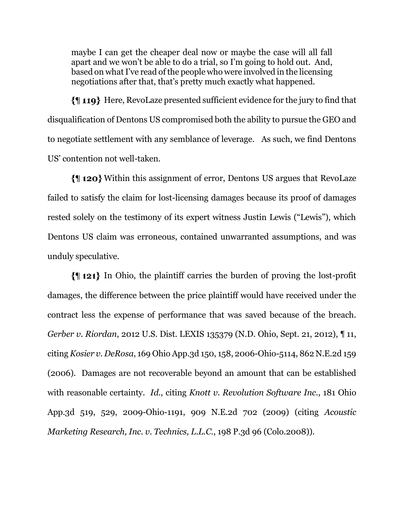maybe I can get the cheaper deal now or maybe the case will all fall apart and we won't be able to do a trial, so I'm going to hold out. And, based on what I've read of the people who were involved in the licensing negotiations after that, that's pretty much exactly what happened.

Here, RevoLaze presented sufficient evidence for the jury to find that disqualification of Dentons US compromised both the ability to pursue the GEO and to negotiate settlement with any semblance of leverage. As such, we find Dentons US' contention not well-taken.

Within this assignment of error, Dentons US argues that RevoLaze failed to satisfy the claim for lost-licensing damages because its proof of damages rested solely on the testimony of its expert witness Justin Lewis ("Lewis"), which Dentons US claim was erroneous, contained unwarranted assumptions, and was unduly speculative.

 $\{\parallel 121\}$  In Ohio, the plaintiff carries the burden of proving the lost-profit damages, the difference between the price plaintiff would have received under the contract less the expense of performance that was saved because of the breach. *Gerber v. Riordan*, 2012 U.S. Dist. LEXIS 135379 (N.D. Ohio, Sept. 21, 2012), ¶ 11, citing *Kosier v. DeRosa*, 169 Ohio App.3d 150, 158, 2006-Ohio-5114, 862 N.E.2d 159 (2006). Damages are not recoverable beyond an amount that can be established with reasonable certainty. *Id.*, citing *Knott v. Revolution Software Inc.*, 181 Ohio App.3d 519, 529, 2009-Ohio-1191, 909 N.E.2d 702 (2009) (citing *Acoustic Marketing Research, Inc. v. Technics, L.L.C.*, 198 P.3d 96 (Colo.2008)).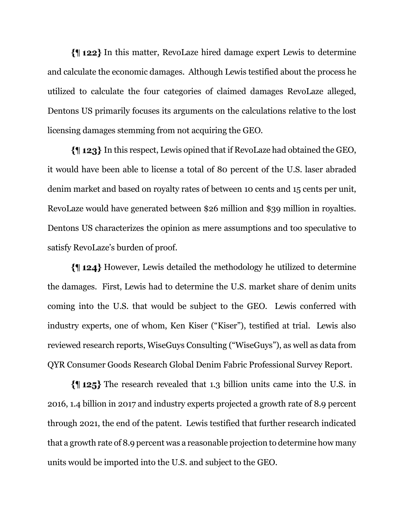In this matter, RevoLaze hired damage expert Lewis to determine and calculate the economic damages. Although Lewis testified about the process he utilized to calculate the four categories of claimed damages RevoLaze alleged, Dentons US primarily focuses its arguments on the calculations relative to the lost licensing damages stemming from not acquiring the GEO.

In this respect, Lewis opined that if RevoLaze had obtained the GEO, it would have been able to license a total of 80 percent of the U.S. laser abraded denim market and based on royalty rates of between 10 cents and 15 cents per unit, RevoLaze would have generated between \$26 million and \$39 million in royalties. Dentons US characterizes the opinion as mere assumptions and too speculative to satisfy RevoLaze's burden of proof.

However, Lewis detailed the methodology he utilized to determine the damages. First, Lewis had to determine the U.S. market share of denim units coming into the U.S. that would be subject to the GEO. Lewis conferred with industry experts, one of whom, Ken Kiser ("Kiser"), testified at trial. Lewis also reviewed research reports, WiseGuys Consulting ("WiseGuys"), as well as data from QYR Consumer Goods Research Global Denim Fabric Professional Survey Report.

 $\{\parallel 125\}$  The research revealed that 1.3 billion units came into the U.S. in 2016, 1.4 billion in 2017 and industry experts projected a growth rate of 8.9 percent through 2021, the end of the patent. Lewis testified that further research indicated that a growth rate of 8.9 percent was a reasonable projection to determine how many units would be imported into the U.S. and subject to the GEO.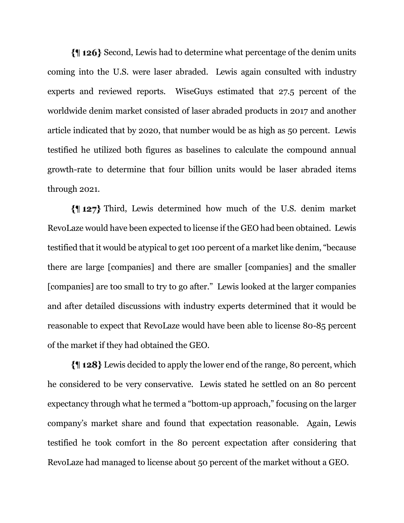Second, Lewis had to determine what percentage of the denim units coming into the U.S. were laser abraded. Lewis again consulted with industry experts and reviewed reports. WiseGuys estimated that 27.5 percent of the worldwide denim market consisted of laser abraded products in 2017 and another article indicated that by 2020, that number would be as high as 50 percent. Lewis testified he utilized both figures as baselines to calculate the compound annual growth-rate to determine that four billion units would be laser abraded items through 2021.

Third, Lewis determined how much of the U.S. denim market RevoLaze would have been expected to license if the GEO had been obtained. Lewis testified that it would be atypical to get 100 percent of a market like denim, "because there are large [companies] and there are smaller [companies] and the smaller [companies] are too small to try to go after." Lewis looked at the larger companies and after detailed discussions with industry experts determined that it would be reasonable to expect that RevoLaze would have been able to license 80-85 percent of the market if they had obtained the GEO.

Lewis decided to apply the lower end of the range, 80 percent, which he considered to be very conservative. Lewis stated he settled on an 80 percent expectancy through what he termed a "bottom-up approach," focusing on the larger company's market share and found that expectation reasonable. Again, Lewis testified he took comfort in the 80 percent expectation after considering that RevoLaze had managed to license about 50 percent of the market without a GEO.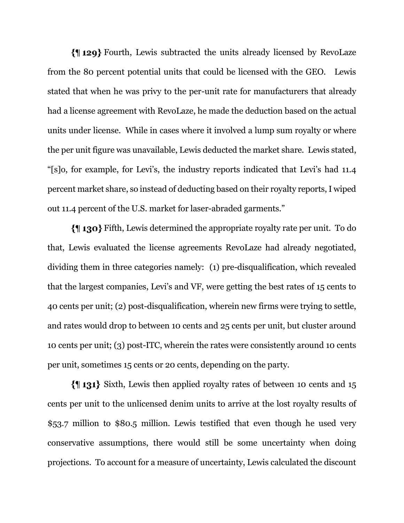Fourth, Lewis subtracted the units already licensed by RevoLaze from the 80 percent potential units that could be licensed with the GEO. Lewis stated that when he was privy to the per-unit rate for manufacturers that already had a license agreement with RevoLaze, he made the deduction based on the actual units under license. While in cases where it involved a lump sum royalty or where the per unit figure was unavailable, Lewis deducted the market share. Lewis stated, "[s]o, for example, for Levi's, the industry reports indicated that Levi's had 11.4 percent market share, so instead of deducting based on their royalty reports, I wiped out 11.4 percent of the U.S. market for laser-abraded garments."

Fifth, Lewis determined the appropriate royalty rate per unit. To do that, Lewis evaluated the license agreements RevoLaze had already negotiated, dividing them in three categories namely: (1) pre-disqualification, which revealed that the largest companies, Levi's and VF, were getting the best rates of 15 cents to 40 cents per unit; (2) post-disqualification, wherein new firms were trying to settle, and rates would drop to between 10 cents and 25 cents per unit, but cluster around 10 cents per unit; (3) post-ITC, wherein the rates were consistently around 10 cents per unit, sometimes 15 cents or 20 cents, depending on the party.

Sixth, Lewis then applied royalty rates of between 10 cents and 15 cents per unit to the unlicensed denim units to arrive at the lost royalty results of \$53.7 million to \$80.5 million. Lewis testified that even though he used very conservative assumptions, there would still be some uncertainty when doing projections. To account for a measure of uncertainty, Lewis calculated the discount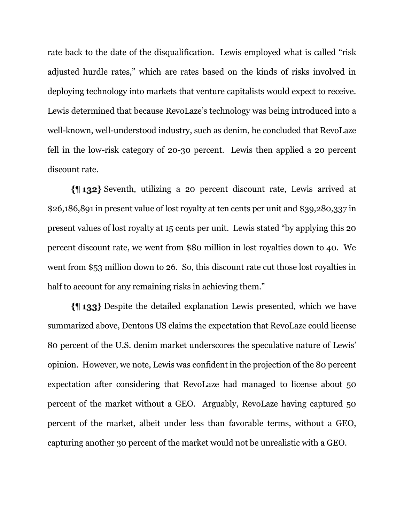rate back to the date of the disqualification. Lewis employed what is called "risk adjusted hurdle rates," which are rates based on the kinds of risks involved in deploying technology into markets that venture capitalists would expect to receive. Lewis determined that because RevoLaze's technology was being introduced into a well-known, well-understood industry, such as denim, he concluded that RevoLaze fell in the low-risk category of 20-30 percent. Lewis then applied a 20 percent discount rate.

Seventh, utilizing a 20 percent discount rate, Lewis arrived at \$26,186,891 in present value of lost royalty at ten cents per unit and \$39,280,337 in present values of lost royalty at 15 cents per unit. Lewis stated "by applying this 20 percent discount rate, we went from \$80 million in lost royalties down to 40. We went from \$53 million down to 26. So, this discount rate cut those lost royalties in half to account for any remaining risks in achieving them."

Despite the detailed explanation Lewis presented, which we have summarized above, Dentons US claims the expectation that RevoLaze could license 80 percent of the U.S. denim market underscores the speculative nature of Lewis' opinion. However, we note, Lewis was confident in the projection of the 80 percent expectation after considering that RevoLaze had managed to license about 50 percent of the market without a GEO. Arguably, RevoLaze having captured 50 percent of the market, albeit under less than favorable terms, without a GEO, capturing another 30 percent of the market would not be unrealistic with a GEO.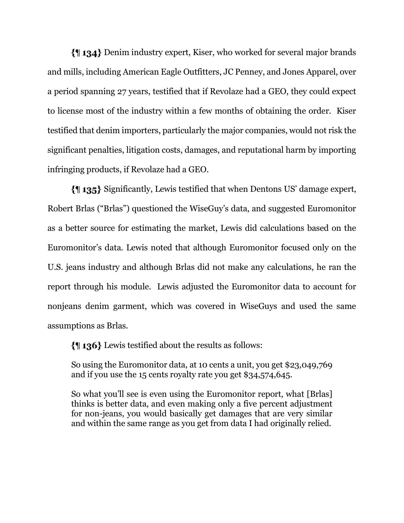Denim industry expert, Kiser, who worked for several major brands and mills, including American Eagle Outfitters, JC Penney, and Jones Apparel, over a period spanning 27 years, testified that if Revolaze had a GEO, they could expect to license most of the industry within a few months of obtaining the order. Kiser testified that denim importers, particularly the major companies, would not risk the significant penalties, litigation costs, damages, and reputational harm by importing infringing products, if Revolaze had a GEO.

Significantly, Lewis testified that when Dentons US' damage expert, Robert Brlas ("Brlas") questioned the WiseGuy's data, and suggested Euromonitor as a better source for estimating the market, Lewis did calculations based on the Euromonitor's data. Lewis noted that although Euromonitor focused only on the U.S. jeans industry and although Brlas did not make any calculations, he ran the report through his module. Lewis adjusted the Euromonitor data to account for nonjeans denim garment, which was covered in WiseGuys and used the same assumptions as Brlas.

Lewis testified about the results as follows:

So using the Euromonitor data, at 10 cents a unit, you get \$23,049,769 and if you use the 15 cents royalty rate you get \$34,574,645.

So what you'll see is even using the Euromonitor report, what [Brlas] thinks is better data, and even making only a five percent adjustment for non-jeans, you would basically get damages that are very similar and within the same range as you get from data I had originally relied.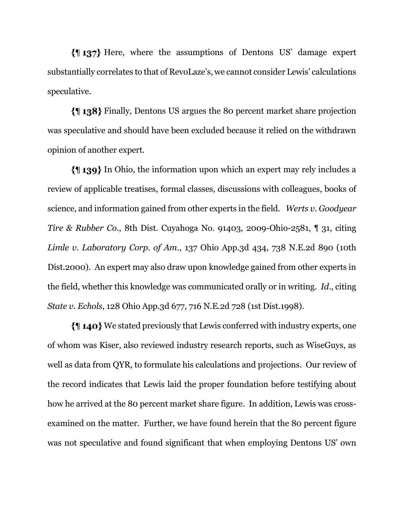Here, where the assumptions of Dentons US' damage expert substantially correlates to that of RevoLaze's, we cannot consider Lewis' calculations speculative.

Finally, Dentons US argues the 80 percent market share projection was speculative and should have been excluded because it relied on the withdrawn opinion of another expert.

In Ohio, the information upon which an expert may rely includes a review of applicable treatises, formal classes, discussions with colleagues, books of science, and information gained from other experts in the field. *Werts v. Goodyear Tire & Rubber Co.*, 8th Dist. Cuyahoga No. 91403, 2009-Ohio-2581, ¶ 31, citing *Limle v. Laboratory Corp. of Am.*, 137 Ohio App.3d 434, 738 N.E.2d 890 (10th Dist.2000). An expert may also draw upon knowledge gained from other experts in the field, whether this knowledge was communicated orally or in writing. *Id*., citing *State v. Echols*, 128 Ohio App.3d 677, 716 N.E.2d 728 (1st Dist.1998).

We stated previously that Lewis conferred with industry experts, one of whom was Kiser, also reviewed industry research reports, such as WiseGuys, as well as data from QYR, to formulate his calculations and projections. Our review of the record indicates that Lewis laid the proper foundation before testifying about how he arrived at the 80 percent market share figure. In addition, Lewis was crossexamined on the matter. Further, we have found herein that the 80 percent figure was not speculative and found significant that when employing Dentons US' own